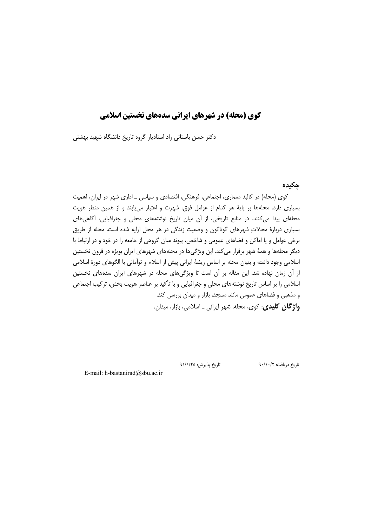دکتر حسن باستانی راد استادیار گروه تاریخ دانشگاه شهید بهشتی

## چکیدہ

کوی (محله) در کالبد معماری، اجتماعی، فرهنگی، اقتصادی و سیاسی ـ اداری شهر در ایران، اهمیت بسیاری دارد. محلهها بر پایهٔ هر کدام از عوامل فوق، شهرت و اعتبار می یابند و از همین منظر هویت محلهای پیدا می کنند. در منابع تاریخی، از آن میان تاریخ نوشتههای محلی و جغرافیایی، آگاهی های بسیاری دربارهٔ محلاتِ شهرهای گوناگون و وضعیت زندگی در هر محل ارایه شده است. محله از طریق برخی عوامل و یا اماکن و فضاهای عمومی و شاخص، پیوند میان گروهی از جامعه را در خود و در ارتباط با دیگر محلهها و همهٔ شهر برقرار می کند. این ویژگی ها در محلههای شهرهای ایران بویژه در قرون نخستین اسلامی وجود داشته و بنیان محله بر اساس ریشهٔ ایرانی پیش از اسلام و توأمانی با الگوهای دورهٔ اسلامی از آن زمان نهاده شد. این مقاله بر آن است تا ویژگیهای محله در شهرهای ایران سدههای نخستین اسلامی را بر اساس تاریخ نوشتههای محلی و جغرافیایی و با تأکید بر عناصر هویت بخش، ترکیب اجتماعی و مذهبی و فضاهای عمومی مانند مسجد، بازار و میدان بررسی کند. و**اژ گان کلیدی**: کوی، محله، شهر ایرانی ـ اسلامی، بازار، میدان.

تاريخ پذيرش: ٩١/١/٢۵

تاريخ دريافت: ٩٠/١٠/٢

E-mail: h-bastanirad@sbu.ac.ir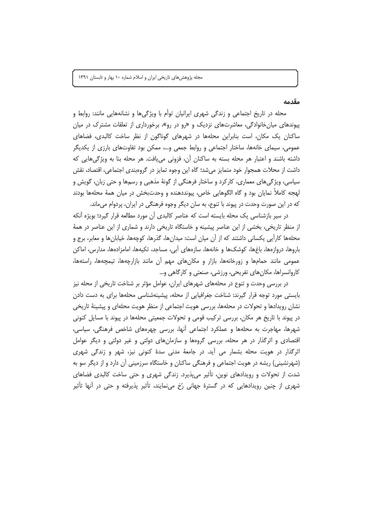#### مقدمه

محله در تاریخ اجتماعی و زندگی شهری ایرانیان توأم با ویژگیها و نشانههایی مانند: روابط و پیوندهای میانخانوادگی، معاشرتهای نزدیک و «رو در رو»، برخورداری از تعلقات مشترک در میان ساکنان یک مکان، است بنابراین محلهها در شهرهای گوناگون از نظر ساخت کالبدی، فضاهای عمومی، سیمای خانهها، ساختار اجتماعی و روابط جمعی و…، ممکن بود تفاوتهای بارزی از یکدیگر داشته باشند و اعتبار هر محله بسته به ساكنان أن، فزوني مي يافت. هر محله بنا به ويژگيهايي كه داشت از محلات همجوار خود متمايز ميشد؛ گاه اين وجوه تمايز در گروهبندي اجتماعي، اقتصاد، نقش سیاسی، ویژگی های معماری، کارکرد و ساختار فرهنگی از گونهٔ مذهبی و رسمها و حتی زبان، گویش و لهجه كاملاً نمايان بود و گاه الگوهايي خاص، پيونددهنده و وحدتبخش در ميان همهٔ محلهها بودند که در این صورت وحدت در پیوند با تنوع، به سان دیگر وجوه فرهنگی در ایران، پردوام می،اند.

در سیر بازشناسی یک محله بایسته است که عناصر کالبدی آن مورد مطالعه قرار گیرد؛ بویژه آنکه از منظر تاریخی، بخشی از این عناصر پیشینه و خاستگاه تاریخی دارند و شماری از این عناصر در همهٔ محلهها كارآيي يكساني داشتند كه از آن ميان است: ميدانها، گذرها، كوچهها، خيابانها و معابر، برج و باروها، دروازەها، باغِها، كوشك&ا و خانەها، سازەهاي آبي، مساجد، تكيەها، امامزادەها، مدارس، اماكن عمومی مانند حمامها و زورخانهها، بازار و مکانهای مهم آن مانند بازارچهها، تیمچهها، راستهها، کاروانسراها، مکان های تفریحی، ورزشی، صنعتی و کارگاهی و…

در بررسی وحدت و تنوع در محلههای شهرهای ایران، عوامل مؤثر بر شناخت تاریخی از محله نیز بایستی مورد توجه قرار گیرند: شناخت جغرافیایی از محله، پیشینهشناسی محلهها برای به دست دادن نشان رویدادها و تحولات در محلهها، بررسی هویت اجتماعی از منظر هویت محلهای و پیشینهٔ تاریخی در پیوند با تاریخ هر مکان، بررسی ترکیب قومی و تحولات جمعیتی محلهها در پیوند با مسایل کنونی شهرها، مهاجرت به محلهها و عملکرد اجتماعی آنها، بررسی چهرههای شاخص فرهنگی، سیاسی، اقتصادی و اثرگذار در هر محله، بررسی گروهها و سازمانهای دولتی و غیر دولتی و دیگر عوامل اثرگذار در هویت محله بشمار می آید. در جامعهٔ مدنی سدهٔ کنونی نیز، شهر و زندگی شهری (شهرنشینی) ریشه در هویت اجتماعی و فرهنگی ساکنان و خاستگاه سرزمینی آن دارد و از دیگر سو به شدت از تحولات و رویدادهای نوین، تأثیر می پذیرد. زندگی شهری و حتی ساخت کالبدی فضاهای شهری از چنین رویدادهایی که در گسترهٔ جهانی رُخ مینمایند، تأثیر پذیرفته و حتی در آنها تأثیر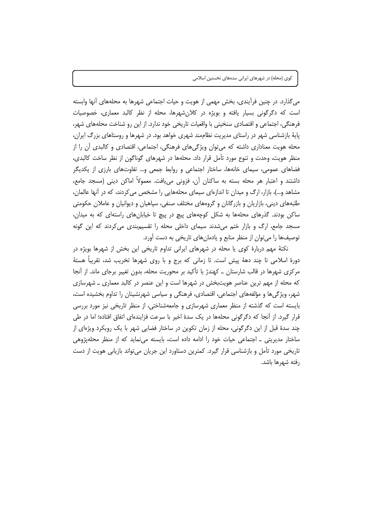میگذارد. در چنین فرأیندی، بخش مهمی از هویت و حیات اجتماعی شهرها به محلههای أنها وابسته است که دگرگونی بسیار یافته و بویژه در کلانشهرها، محله از نظر کالبد معماری، خصوصیات فرهنگی، اجتماعی و اقتصادی سنخیتی با واقعیات تاریخی خود ندارد. از این رو شناخت محلههای شهر، پایهٔ بازشناسی شهر در راستای مدیریت نظاممند شهری خواهد بود. در شهرها و روستاهای بزرگ ایران، محله هویت معناداری داشته که می توان ویژگی های فرهنگی، اجتماعی، اقتصادی و کالبدی آن را از منظر هویت، وحدت و تنوع مورد تأمل قرار داد. محلهها در شهرهای گوناگون از نظر ساخت کالبدی، فضاهای عمومی، سیمای خانهها، ساختار اجتماعی و روابط جمعی و… تفاوتهای بارزی از یکدیگر داشتند و اعتبار هر محله بسته به ساكنان آن، فزوني مي يافت. معمولاً اماكن ديني (مسجد جامع، مشاهد و…)، بازار، ارگ و میدان تا اندازهای سیمای محلههایی را مشخص می کردند، که در آنها عالمان، طلبههای دینی، بازاریان و بازرگانان و گروههای مختلف صنفی، سپاهیان و دیوانیان و عاملان حکومتی ساکن بودند. گذرهای محلهها به شکل کوچههای پیچ در پیچ تا خیابانهای راستهای که به میدان، مسجد جامع، ارگ و بازار ختم میشدند سیمای داخلی محله را تقسیمبندی میکردند که این گونه توصیفها را می توان از منظر منابع و یادمانهای تاریخی به دست آورد.

نکتهٔ مهم دربارهٔ کوی یا محله در شهرهای ایرانی تداوم تاریخی این بخش از شهرها بویژه در دورهٔ اسلامی تا چند دههٔ پیش است. تا زمانی که برج و با روی شهرها تخریب شد، تقریباً هستهٔ مرکزی شهرها در قالب شارستان ــ کهندژ با تأکید بر محوریت محله، بدون تغییر برجای ماند. از آنجا که محله از مهم ترین عناصر هویتبخش در شهرها است و این عنصر در کالبد معماری ـ شهرسازی شهر، ویژگیها و مؤلفههای اجتماعی، اقتصادی، فرهنگی و سیاسی شهرنشینان را تداوم بخشیده است، بایسته است که گذشته از منظر معماری شهرسازی و جامعهشناختی، از منظر تاریخی نیز مورد بررسی قرار گیرد. از آنجا که دگرگونی محلهها در یک سدهٔ اخیر با سرعت فزایندهای اتفاق افتاده؛ اما در طی چند سدهٔ قبل از این دگرگونی، محله از زمان تکوین در ساختار فضایی شهر با یک رویکرد ویژهای از ساختار مدیریتی ـ اجتماعی حیات خود را ادامه داده است، بایسته می،نماید که از منظر محلهپژوهی تاریخی مورد تأمل و بازشناسی قرار گیرد. کمترین دستاورد این جریان میتواند بازیابی هویت از دست رفته شهرها باشد.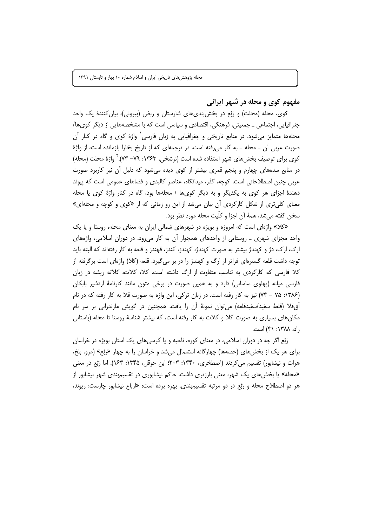مفهوم کوي و محله در شهر ايراني

کوی، محله (محلت) و رَبْع در بخش بندیِهای شارستان و ربض (بیرونی)، بیان کنندهٔ یک واحد جغرافیایی، اجتماعی ـ جمعیتی، فرهنگی، اقتصادی و سیاسی است که با مشخصههایی از دیگر کویها/ محلهها متمایز می شود. در منابع تاریخی و جغرافیایی به زبان فارسی<sup>٬</sup> واژهٔ کوی و گاه در کنار آن صورت عربی آن ـ محله ـ به کار می رفته است. در ترجمهای که از تاریخ بخارا بازمانده است، از واژهٔ كوى براى توصيف بخش هاى شهر استفاده شده است (نرشخى، ١٣۶٣: ٧٩- ٧٣). ` واژهٔ محلت (محله) در منابع سدههای چهارم و پنجم قمری بیشتر از کوی دیده می شود که دلیل آن نیز کاربرد صورت عربی چنین اصطلاحاتی است. کوچه، گذر، میدانگاه، عناصر کالبدی و فضاهای عمومی است که پیوند دهندهٔ اجزای هر کوی به یکدیگر و به دیگر کویها / محلهها بود، گاه در کنار واژهٔ کوی یا محله معنای کلی تری از شکل کارکردی آن بیان میشد از این رو زمانی که از «کوی و کوچه و محلهای» سخن گفته مي شد، همهٔ آن اجزا و كلّيت محله مورد نظر بود.

«کلا» واژهای است که امروزه و بویژه در شهرهای شمالی ایران به معنای محله، روستا و یا یک واحد مجزای شهری \_ روستایی از واحدهای همجوار آن به کار می رود. در دوران اسلامی، واژههای ارگ، ارک، دژ و کهندژ بیشتر به صورت کهندژ، کهندز، کندز، قهندز و قلعه به کار رفتهاند که البته باید توجه داشت قلعه گسترهای فراتر از ارگ و کهندژ را در بر میگیرد. قلعه (کلا) واژهای است برگرفته از کلا فارسی که کارکردی به تناسب متفاوت از ارگ داشته است. کلا، کلات، کلاته ریشه در زبان فارسی میانه (پهلوی ساسانی) دارد و به همین صورت در برخی متون مانند کارنامهٔ اردشیر بابکان (۱۳۸۶: ۷۵ – ۷۴) نیز به کار رفته است. در زبان ترکی، این واژه به صورت قلا به کار رفته که در نام اَق قلا (قلعهٔ سفید/سفیدقلعه) می توان نمونهٔ اَن را یافت. همچنین در گویش مازندرانی بر سر نام مکانهای بسیاری به صورت کلا و کلات به کار رفته است، که بیشتر شناسهٔ روستا تا محله (باستانی , اد، ۱۳۸۸: ۴۱) است.

رَبْع اگر چه در دوران اسلامی، در معنای کوره، ناحیه و یا کرسی های یک استان بویژه در خراسان برای هر یک از بخشهای (حصهها) چهارگانه استعمال میشد و خراسان را به چهار «رَبْع» (مرو، بلخ، هرات و نیشابور) تقسیم می کردند (اصطخری، ۱۳۴۰: ۲۰۳: ابن حوقل، ۱۳۴۵: ۱۶۳). اما رَبْع در معنی «محله» یا بخشهای یک شهر، معنی بارزتری داشت. حاکم نیشابوری در تقسیم بندی شهر نیشابور از هر دو اصطلاح محله و رَبْع در دو مرتبه تقسیم بندی، بهره برده است: «ارباع نیشابور چارست: ریوند،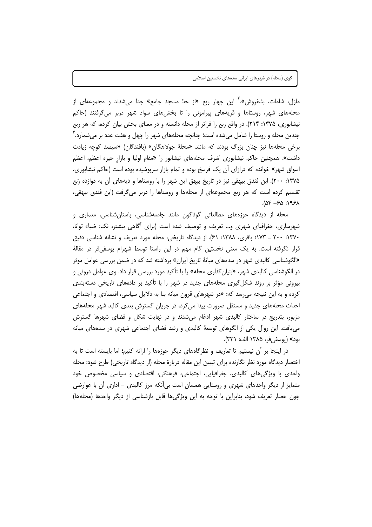مازل، شامات، بشفروش».<sup>۳</sup> این چهار ربع «از حدً مسجد جامع» جدا میشدند و مجموعهای از محلههای شهر، روستاها و قریههای پیرامونی را تا بخشهای سواد شهر دربر می گرفتند (حاکم نیشابوری، ۱۳۷۵: ۲۱۴). در واقع ربع را فراتر از محله دانسته و در معنای بخش بیان کرده، که هر ربع چندین محله و روستا را شامل میشده است؛ چنانچه محلههای شهر را چهل و هفت عدد بر میشمارد. ٔ برخی محلهها نیز چنان بزرگ بودند که مانند «محلهٔ جولاهگان» (بافندگان) «سیصد کوچه زیادت داشت». همچنین حاکم نیشابوری اشرف محلههای نیشابور را «مقام اولیا و بازار حیره اعظم، اعظم اسواق شهر» خوانده که درازای آن یک فرسخ بوده و تمام بازار سرپوشیده بوده است (حاکم نیشابوری، ۱۳۷۵: ۲۰۰). ابن فندق بیهقی نیز در تاریخ بیهق این شهر را با روستاها و دیههای آن به دوازده رَبع تقسیم کرده است که هر ربع مجموعهای از محلهها و روستاها را دربر میگرفت (ابن فندق بیهقی،  $A9.69 - 70.195A$ 

محله از دیدگاه حوزههای مطالعاتی گوناگون مانند جامعهشناسی، باستانشناسی، معماری و شهرسازی، جغرافیای شهری و… تعریف و توصیف شده است (برای آگاهی بیشتر، نک: ضیاء توانا، ۱۳۷۰: ۲۰۰ \_ ۱۷۳: باقرى، ۱۳۸۸: ۶۱). از ديدگاه تاريخي، محله مورد تعريف و نشانه شناسي دقيق قرار نگرفته است. به یک معنی نخستین گام مهم در این راستا توسط شهرام یوسفی فر در مقالهٔ «الگوشناسی کالبدی شهر در سدههای میانهٔ تاریخ ایران» برداشته شد که در ضمن بررسی عوامل موثر در الگوشناسی کالبدی شهر، «بنیانِ گذاری محله» را با تأکید مورد بررسی قرار داد. وی عوامل درونی و بیرونی مؤثر بر روند شکل گیری محلههای جدید در شهر را با تأکید بر دادههای تاریخی دستهبندی کرده و به این نتیجه می رسد که: «در شهرهای قرون میانه بنا به دلایل سیاسی، اقتصادی و اجتماعی احداث محلههای جدید و مستقل ضرورت پیدا می کرد، در جریان گسترش بعدی کالبد شهر محلههای مزبور، بتدریج در ساختار کالبدی شهر ادغام میشدند و در نهایت شکل و فضای شهرها گسترش می یافت. این روال یکی از الگوهای توسعهٔ کالبدی و رشد فضای اجتماعی شهری در سدههای میانه بود» (يوسفي فر، ١٣٨۵ الف: ٣٣١).

در اینجا بر آن نیستیم تا تعاریف و نظرگاههای دیگر حوزهها را ارائه کنیم؛ اما بایسته است تا به اختصار دیدگاه مورد نظر نگارنده برای تبیین این مقاله دربارهٔ محله (از دیدگاه تاریخی) طرح شود: محله واحدی با ویژگیهای کالبدی، جغرافیایی، اجتماعی، فرهنگی، اقتصادی و سیاسی مخصوص خود متمایز از دیگر واحدهای شهری و روستایی همسان است بیiنکه مرز کالبدی – اداری أن با عوارضی چون حصار تعریف شود، بنابراین با توجه به این ویژگیها قابل بازشناسی از دیگر واحدها (محلهها)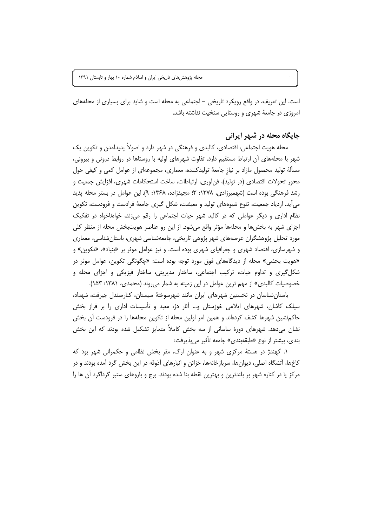است. این تعریف، در واقع رویکرد تاریخی – اجتماعی به محله است و شاید برای بسیاری از محلههای امروزی در جامعهٔ شهری و روستایی سنخیت نداشته باشد.

## جایگاه محله در شهر ایرانی

محله هويت اجتماعي، اقتصادي، كالبدي و فرهنگي در شهر دارد و اصولاً پديدآمدن و تكوين يک شهر با محلههای آن ارتباط مستقیم دارد. تفاوت شهرهای اولیه با روستاها در روابط درونی و بیرونی، مسألهٔ تولید محصول مازاد بر نیاز جامعهٔ تولیدکننده، معماری، مجموعهای از عوامل کمی و کیفی حول محور تحولات اقتصادی (در تولید)، فن[وری، ارتباطات، ساخت استحکامات شهری، افزایش جمعیت و رشد فرهنگی بوده است (شهمیرزادی، ۱۳۷۸: ۳: مجیدزاده، ۱۳۶۸: ۹). این عوامل در بستر محله پدید می آید. ازدیاد جمعیت، تنوع شیوههای تولید و معیشت، شکل گیری جامعهٔ فرادست و فرودست، تکوین نظام اداری و دیگر عواملی که در کالبد شهر حیات اجتماعی را رقم می;ند، خواهناخواه در تفکیک اجزای شهر به بخشها و محلهها مؤثر واقع میشود. از این رو عناصر هویتبخش محله از منظر کلی مورد تحلیل پژوهشگران عرصههای شهر پژوهی تاریخی، جامعهشناسی شهری، باستان شناسی، معماری و شهرسازی، اقتصاد شهری و جغرافیای شهری بوده است. و نیز عوامل موثر بر «بنیاد»، «تکوین» و «هویت بخشی» محله از دیدگاههای فوق مورد توجه بوده است: «چگونگی تکوین، عوامل موثر در شکل گیری و تداوم حیات، ترکیب اجتماعی، ساختار مدیریتی، ساختار فیزیکی و اجزای محله و خصوصیات کالبدی» از مهم ترین عوامل در این زمینه به شمار می روند (محمدی، ۱۳۸۱: ۱۵۳).

باستان شناسان در نخستین شهرهای ایران مانند شهرسوختهٔ سیستان، کنارصندل جیرفت، شهداد، سیلک کاشان، شهرهای ایلامی خوزستان و… آثار دژ، معبد و تأسیسات اداری را بر فراز بخش حاکمنشین شهرها کشف کردهاند و همین امر اولین محله از تکوین محلهها را در فرودست آن بخش نشان میدهد. شهرهای دورهٔ ساسانی از سه بخش کاملاً متمایز تشکیل شده بودند که این بخش بندي، بيشتر از نوع «طبقهبندي» جامعه تأثير مي يذيرفت:

۱. کهندژ در هستهٔ مرکزی شهر و به عنوان ارگ، مقر بخش نظامی و حکمرانی شهر بود که کاخها، آتشگاه اصلی، دیوانها، سربازخانهها، خزائن و انبارهای آذوقه در این بخش گرد آمده بودند و در مرکز یا در کناره شهر بر بلندترین و بهترین نقطه بنا شده بودند. برج و باروهای ستبر گرداگرد آن ها را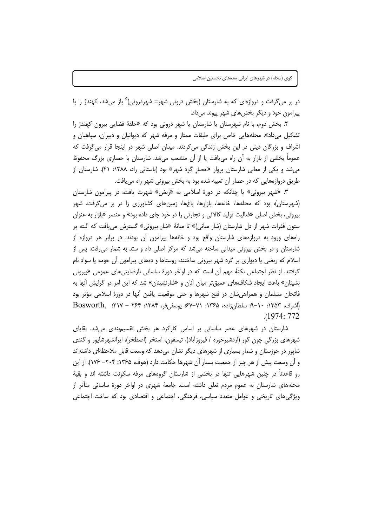در بر میگرفت و دروازهای که به شارستان (بخش درونی شهر= شهردرونی)<sup>ه</sup> باز میشد، کهندژ را با پيرامون خود و ديگر بخش هاي شهر پيوند مي داد.

۲. بخش دوم، با نام شهرستان یا شارستان یا شهر درونی بود که «حلقهٔ فضایی بیرون کهندژ را تشکیل میداد». محلههایی خاص برای طبقات ممتاز و مرفه شهر که دیوانیان و دبیران، سپاهیان و اشراف و بزرگان دینی در این بخش زندگی می کردند. میدان اصلی شهر در اینجا قرار می گرفت که عموماً بخشی از بازار به آن راه می یافت یا از آن منشعب میشد. شارستان با حصاری بزرگ محفوظ می شد و یکی از معانی شارستان پروار «حصار گِرد شهر» بود (باستانی راد، ۱۳۸۸: ۴۱). شارستان از طریق دروازههایی که در حصار آن تعبیه شده بود به بخش بیرونی شهر راه می یافت.

۳. «شهر بیرونی» یا چنانکه در دورهٔ اسلامی به «ربض» شهرت یافت، در پیرامون شارستان (شهرستان)، بود که محلهها، خانهها، بازارها، باغها، زمینهای کشاورزی را در بر میگرفت. شهر بیرونی، بخش اصلی «فعالیت تولید کالائی و تجارتی را در خود جای داده بود» و عنصر «بازار به عنوان ستون فقرات شهر از دل شارستان (شار میانی)» تا میانهٔ «شار بیرونی» گسترش می یافت که البته بر راههای ورود به دروازههای شارستان واقع بود و خانهها پیرامون آن بودند. در برابر هر دروازه از شارستان و در بخش بیرونی میدانی ساخته میشد که مرکز اصلی داد و ستد به شمار می رفت. پس از اسلام که ربضی یا دیواری بر گرد شهر بیرونی ساختند، روستاها و دِههای پیرامون أن حومه یا سواد نام گرفتند. از نظر اجتماعی نکتهٔ مهم آن است که در اواخر دورهٔ ساسانی نارضایتیهای عمومی «بیرونی نشینان» باعث ایجاد شکافهای عمیقتر میان أنان و «شارنشینان» شد که این امر در گرایش أنها به فاتحان مسلمان و همراهی شان در فتح شهرها و حتی موقعیت یافتن آنها در دورهٔ اسلامی مؤثر بود (اشرف، ۱۳۵۳: ۱۰–۹؛ سلطان;زاده، ۱۳۶۵: ۷۱–۶۷؛ یوسفی فر، ۱۳۸۴: ۲۶۴ – ۲۱۷؛ Bosworth,  $.1974:772$ 

شارستان در شهرهای عصر ساسانی بر اساس کارکرد هر بخش تقسیمبندی میشد. بقایای شهرهای بزرگی چون گور (اردشیرخوره / فیروزآباد)، تیسفون، استخر (اصطخر)، ایرانشهرشایور و گندی شاپور در خوزستان و شمار بسیاری از شهرهای دیگر نشان میدهد که وسعت قابل ملاحظهای داشتهاند و آن وسعت پیش از هر چیز از جمعیت بسیار آن شهرها حکایت دارد (هوف، ۱۳۶۵: ۲۰۴– ۱۷۶). از این رو قاعدتاً در چنین شهرهایی تنها در بخشی از شارستان گروههای مرفه سکونت داشته اند و بقیهٔ محلههای شارستان به عموم مردم تعلق داشته است. جامعهٔ شهری در اواخر دورهٔ ساسانی متأثر از ویژگیهای تاریخی و عوامل متعدد سیاسی، فرهنگی، اجتماعی و اقتصادی بود که ساخت اجتماعی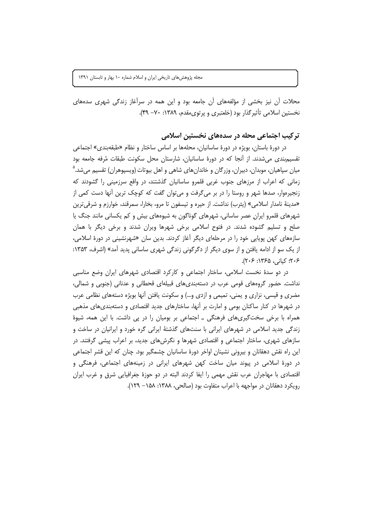محلات آن نیز بخشی از مؤلفههای آن جامعه بود و این همه در سرآغاز زندگی شهری سدههای نخستين اسلامي تأثير گذار بود (خلعتبري و پرتوي مقدم، ١٣٨٩: ٢٠- ۴٩).

## تر کیب اجتماعی محله در سدههای نخستین اسلامی

در دورهٔ باستان، بویژه در دورهٔ ساسانیان، محلهها بر اساس ساختار و نظام «طبقهبندی» اجتماعی تقسیم بندی می شدند. از آنجا که در دورهٔ ساسانیان، شارستان محل سکونت طبقات مُرفه جامعه بود میان سپاهیان، موبدان، دبیران، وزرگان و خاندانهای شاهی و اهل بیوتات (ویسپوهران) تقسیم می شد.<sup>۵</sup> زمانی که اعراب از مرزهای جنوب غربی قلمرو ساسانیان گذشتند، در واقع سرزمینی را گشودند که زنجیرهوار، صدها شهر و روستا را در بر می گرفت و می توان گفت که کوچک ترین آنها دست کمی از «مدينهٔ نامدار اسلامي» (يثرب) نداشت. از حيره و تيسفون تا مرو، بخارا، سمرقند، خوارزم و شرقي ترين شهرهای قلمرو ایران عصر ساسانی، شهرهای گوناگون به شیوههای بیش و کم یکسانی مانند جنگ یا صلح و تسلیم گشوده شدند. در فتوح اسلامی برخی شهرها ویران شدند و برخی دیگر با همان سازههای کهن پویایی خود را در مرحلهای دیگر آغاز کردند. بدین سان «شهرنشینی در دورهٔ اسلامی، از یک سو از ادامه یافتن و از سوی دیگر از دگرگونی زندگی شهری ساسانی پدید آمد» (اشرف، ۱۳۵۳: ۲۰۶؛ کیانی، ۱۳۶۵؛ ۲۰۶).

در دو سدهٔ نخست اسلامی، ساختار اجتماعی و کارکرد اقتصادی شهرهای ایران وضع مناسبی نداشت. حضور گروههای قومی عرب در دستهبندیهای قبیلهای قحطانی و عدنانی (جنوبی و شمالی، مضری و قیسی، نزاری و یمنی، تمیمی و ازدی و…) و سکونت یافتن آنها بویژه دستههای نظامی عرب در شهرها در کنار ساکنان بومی و امارت بر اَنها، ساختارهای جدید اقتصادی و دستهبندیهای مذهبی همراه با برخی سختگیریهای فرهنگی ـ اجتماعی بر بومیان را در پی داشت. با این همه، شیوهٔ زندگی جدید اسلامی در شهرهای ایرانی با سنتهای گذشتهٔ ایرانی گره خورد و ایرانیان در ساخت و سازهای شهری، ساختار اجتماعی و اقتصادی شهرها و نگرشهای جدید، بر اعراب پیشی گرفتند. در این راه نقش دهقانان و بیرونی نشینان اواخر دورهٔ ساسانیان چشمگیر بود. چنان که این قشر اجتماعی در دورهٔ اسلامی در پیوند میان ساخت کهن شهرهای ایرانی در زمینههای اجتماعی، فرهنگی و اقتصادی با مهاجران عرب نقش مهمی را ایفا کردند البته در دو حوزهٔ جغرافیایی شرق و غرب ایران رویکرد دهقانان در مواجهه با اعراب متفاوت بود (صالحی، ۱۳۸۸: ۱۵۸– ۱۲۹).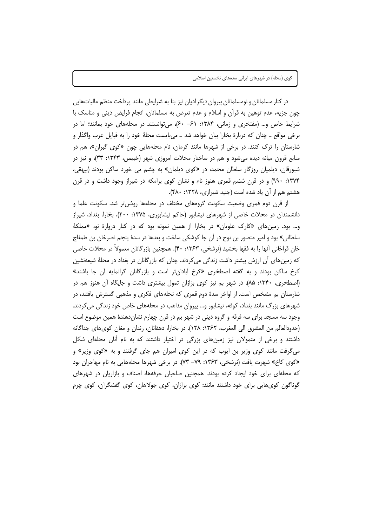در کنار مسلمانان و نومسلمانان پیروان دیگر ادیان نیز بنا به شرایطی مانند پرداخت منظم مالیاتهایی چون جزيه، عدم توهين به قرآن و اسلام و عدم تعرض به مسلمانان، انجام فرايض ديني و مناسک با شرایط خاص و... (مفتخری و زمانی، ۱۳۸۴: ۶۰– ۶۰)، میتوانستند در محلههای خود بمانند؛ اما در برخی مواقع ــ چنان که دربارهٔ بخارا بیان خواهد شد ــ میبایست محلهٔ خود را به قبایل عرب واگذار و شارستان را ترک کنند. در برخی از شهرها مانند کرمان، نام محلههایی چون «کوی گبران»، هم در منابع قرون میانه دیده میشود و هم در ساختار محلات امروزی شهر (خبیص، ۱۳۴۳: ۳۳)، و نیز در شبورقان، دیلمیان روزگار سلطان محمد، در «کوی دیلمان» به چشم می خورد ساکن بودند (بیهقی، ۱۳۷۴: ۹۹۰) و در قرن ششم قمری هنوز نام و نشان کوی برامکه در شیراز وجود داشت و در قرن هشتم هم از آن یاد شده است (جنید شیرازی، ۱۳۲۸: ۴۸۰).

از قرن دوم قمری وضعیت سکونت گروههای مختلف در محلهها روشن تر شد. سکونت علما و دانشمندان در محلات خاصی از شهرهای نیشابور (حاکم نیشابوری، ۱۳۷۵: ۲۰۰)، بخارا، بغداد، شیراز و… بود. زمینهای «کارک علویان» در بخارا از همین نمونه بود که در کنار دروازهٔ نو، «مملکهٔ سلطاني» بود و امير منصور بن نوح در آن جا كوشكي ساخت و بعدها در سدهٔ پنجم نصرخان بن طمغاج خان قراخاني أنها را به فقها بخشيد (نرشخي، ۱۳۶۳: ۴۰). همچنين بازرگانان معمولاً در محلات خاصي که زمینهای آن ارزش بیشتر داشت زندگی می کردند. چنان که بازرگانان در بغداد در محلهٔ شیعهنشین کرخ ساکن بودند و به گفته اصطخری «کرخ آبادانتر است و بازرگانان گرانمایه آن جا باشند» (اصطخری، ۱۳۴۰: ۸۵). در شهر بم نیز کوی بزازان تمول بیشتری داشت و جایگاه آن هنوز هم در شارستان بم مشخص است. از اواخر سدهٔ دوم قمری که نحلههای فکری و مذهبی گسترش یافتند، در شهرهای بزرگ مانند بغداد، کوفه، نیشابور و… پیروان مذاهب در محلههای خاص خود زندگی می کردند. وجود سه مسجد برای سه فرقه و گروه دینی در شهر بم در قرن چهارم نشاندهندهٔ همین موضوع است (حدودالعالم من المشرق الى المغرب، ١٣۶٢: ١٢٨). در بخارا، دهقانان، رندان و مغان كوىهاى جداگانه داشتند و برخی از متمولان نیز زمین های بزرگی در اختیار داشتند که به نام آنان محلهای شکل میگرفت مانند کوی وزیر بن ایوب که در این کوی امیران هم جای گرفتند و به «کوی وزیر» و «کوی کاخ» شهرت یافت (نرشخی، ۱۳۶۳: ۷۹– ۷۳). در برخی شهرها محلههایی به نام مهاجران بود که محلهای برای خود ایجاد کرده بودند. همچنین صاحبان حرفهها، اصناف و بازاریان در شهرهای گوناگون کویهایی برای خود داشتند مانند: کوی بزازان، کوی جولاهان، کوی گفشگران، کوی چرم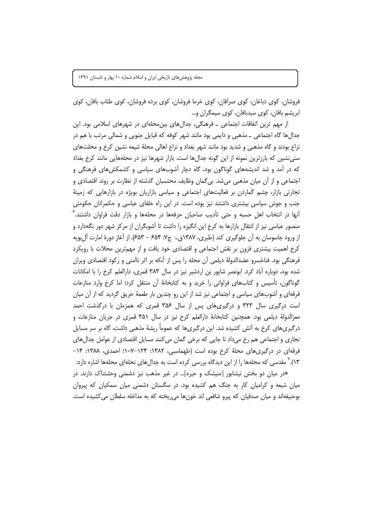فروشان، کوی دباغان، کوی صرافان، کوی خرما فروشان، کوی برده فروشان، کوی طناب بافان، کوی ابریشم بافان، کوی سېدبافان، کوی سیمگران و…

از مهم ترین اتفاقات اجتماعی ــ فرهنگی، جدالهای بین،حلهای در شهرهای اسلامی بود. این جدالها گاه اجتماعی ــ مذهبی و دایمی بود مانند شهر کوفه که قبایل جنوبی و شمالی مرتب با هم در نزاع بودند و گاه مذهبی و شدید بود مانند شهر بغداد و نزاع اهالی محلهٔ شیعه نشین کرخ و محلتهای سنی نشین که بارزترین نمونه از این گونه جدالها است. بازار شهرها نیز در محلههایی مانند کرخ بغداد که در آمد و شد اندیشههای گوناگون بود، گاه دچار آشوبهای سیاسی و کشمکش های فرهنگی و اجتماعی و از آن میان مذهبی میشد. بیگمان وظایف محتسبان گذشته از نظارت بر روند اقتصادی و تجارتی بازار، چشم گماردن بر فعالیتهای اجتماعی و سیاسی بازاریان بویژه در بازارهایی که زمینهٔ جنب و جوش سیاسی بیشتری داشتند نیز بوده است. در این راه خلفای عباسی و حکمرانان حکومتی آنها در انتخاب اهل حسبه و حتى تأديب صاحبان حرفهها در محلهها و بازار دقت فراوان داشتند.<sup>۲</sup> منصور عباسی نیز از انتقال بازارها به کرخ این انگیزه را داشت تا آشوبگران از مرکز شهر دور نگهدارد و از ورود جاسوسان به آن جلوگیری کند (طبری، ۱۳۸۷ق.، ج۷: ۶۵۴ – ۶۵۳). از آغاز دورهٔ امارت آل بویه کرخ اهمیت بیشتری فزون بر نقش اجتماعی و اقتصادی خود یافت و از مهمترین محلات با رویکرد فرهنگی بود. فناخسرو عضدالدولهٔ دیلمی أن محله را پس از أنکه بر اثر ناامنی و رکود اقتصادی ویران شده بود، دوباره أباد کرد. ابونصر شاپور بن اردشیر نیز در سال ۳۸۳ قمری، دارالعلم کرخ را با امکانات گوناگون، تأسیس و کتابهای فراوانی را خرید و به کتابخانهٔ أن منتقل کرد؛ اما کرخ وارد منازعات فرقهای و آشوبهای سیاسی و اجتماعی نیز شد از این رو چندین بار طعمهٔ حریق گردید که از ان میان است درگیری سال ۳۲۳ و درگیریهای پس از سال ۳۵۶ قمری که همزمان با درگذشت احمد معزالدولهٔ دیلمی بود. همچنین کتابخانهٔ دارالعلم کرخ نیز در سال ۴۵۱ قمری در جریان منازعات و درگیریهای کرخ به اَتش کشیده شد. این درگیریها که عموماً ریشهٔ مذهبی داشت، گاه بر سر مسایل تجاري و اجتماعي هم رخ مي داد تا جايي كه برخي گمان مي كنند مسايل اقتصادي از عوامل جدال هاي فرقهای در درگیریهای محلهٔ کرخ بوده است (طهماسبی، ۱۳۸۲: ۱۲۴–۱۰۷؛ احمدی، ۱۳۸۸: ۱۴– ۱۳).<sup>۷</sup> مقدسی که محلهها را از این دیدگاه بررسی کرده است به جدالِهای نحلهای محلهها اشاره دارد:

«در میان دو بخش نیشابور [منیشک و حیره]… در غیر مذهب نیز دشمنی وحشتناک دارند. در میان شیعه و کرامیان کار به جنگ هم کشیده بود. در سگستان دشمنی میان سمکیان که پیروان بوحنیفهاند و میان صدقیان که پیرو شافعی اند خونها می ریخته که به مداخله سلطان می کشیده است.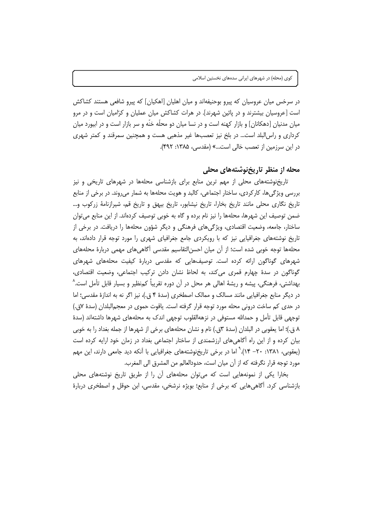در سرخس میان عروسیان که پیرو بوحنیفهاند و میان اهلیان [اهکیان] که پیرو شافعی هستند کشاکش است [عروسیان بیشترند و در پائین شهرند]. در هرات کشاکش میان عملیان و کرّامیان است و در مرو میان مدنیان [دهکانان] و بازار کهنه است و در نسا میان دو محلّه خنّه و سر بازار است و در ابیورد میان کرداری و راس البلد است… در بلخ نیز تعصبها غیر مذهبی هست و همچنین سمرقند و کمتر شهری در این سرزمین از تعصب خالی است...» (مقدسی، ۱۳۸۵: ۴۹۲).

## محله از منظر تاریخنوشتههای محلی

تاریخنوشتههای محلی از مهم ترین منابع برای بازشناسی محلهها در شهرهای تاریخی و نیز بررسی ویژگیها، کارکردی، ساختار اجتماعی، کالبد و هویت محلهها به شمار میروند. در برخی از منابع تاریخ نگاری محلی مانند تاریخ بخارا، تاریخ نیشابور، تاریخ بیهق و تاریخ قم، شیرازنامهٔ زرکوب و… ضمن توصيف اين شهرها، محلهها را نيز نام برده و گاه به خوبي توصيف كردهاند. از اين منابع مي توان ساختار، جامعه، وضعیت اقتصادی، ویژگیهای فرهنگی و دیگر شؤون محلهها را دریافت. در برخی از تاریخ نوشتههای جغرافیایی نیز که با رویکردی جامع جغرافیای شهری را مورد توجه قرار دادهاند، به محلهها توجه خوبی شده است؛ از اَن میان احسن|لتقاسیم مقدسی اَگاهیِهای مهمی دربارهٔ محلههای شهرهای گوناگون ارائه کرده است. توصیفهایی که مقدسی دربارهٔ کیفیت محلههای شهرهای گوناگون در سدهٔ چهارم قمری میکند، به لحاظ نشان دادن ترکیب اجتماعی، وضعیت اقتصادی، بهداشتی، فرهنگی، پیشه و ریشهٔ اهالی هر محل در آن دوره تقریباً کمنظیر و بسیار قابل تأمل است.^ در دیگر منابع جغرافیایی مانند مسالک و ممالک اصطخری (سدهٔ ۴ ق.)، نیز اگر نه به اندازهٔ مقدسی؛ اما در حدی کم ساخت درونی محله مورد توجه قرار گرفته است. یاقوت حموی در معجم|لبلدان (سدهٔ ۷ق.) توجهی قابل تأمل و حمدالله مستوفی در نزههالقلوب توجهی اندک به محلههای شهرها داشتهاند (سدهٔ ٨ ق.)؛ اما يعقوبي در البلدان (سدهٔ ٣ق.) نام و نشانٍ محلههاي برخي از شهرها از جمله بغداد را به خوبي بیان کرده و از این راه آگاهی های ارزشمندی از ساختار اجتماعی بغداد در زمان خود ارایه کرده است (یعقوبی، ۱۳۸۱: ۲۰- ۱۴). ٌ اما در برخی تاریخنوشتههای جغرافیایی با آنکه دید جامعی دارند، این مهم مورد توجه قرار نگرفته كه از آن ميان است، حدودالعالم من المشرق الى المغرب.

بخارا یکی از نمونههایی است که می توان محلههای آن را از طریق تاریخ نوشتههای محلی بازشناسی کرد. أگاهی،ایی که برخی از منابع؛ بویژه نرشخی، مقدسی، ابن حوقل و اصطخری دربارهٔ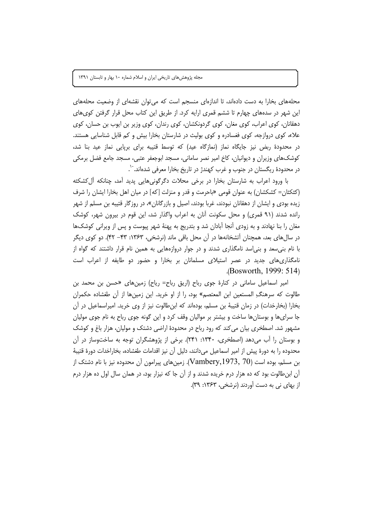محلههای بخارا به دست دادهاند، تا اندازهای منسجم است که می توان نقشهای از وضعیت محلههای این شهر در سدههای چهارم تا ششم قمری ارایه کرد. از طریق این کتاب محل قرار گرفتن کوی های دهقانان، کوی اعراب، کوی مغان، کوی گردونکشان، کوی رندان، کوی وزیر بن ایوب بن حسان، کوی علاء، کوی دروازجه، کوی فغسادره و کوی بولیث در شارستان بخارا بیش و کم قابل شناسایی هستند. در محدودهٔ ربض نیز جایگاه نماز (نمازگاه عید) که توسط قتیبه برای برپایی نماز عید بنا شد، کوشکھای وزیران و دیوانیان، کاخ امیر نصر سامانی، مسجد ابوجعفر عتبی، مسجد جامع فضل برمکی در محدودهٔ ریگستان در جنوب و غرب کهندژ در تاریخ بخارا معرفی شدهاند. ``.

با ورود اعراب به شارستان بخارا در برخی محلات دگرگونی،هایی پدید آمد، چنانکه أل&شکثه (کثکثان= کشکشان) به عنوان قومی «باحرمت و قدر و منزلت [که] در میان اهل بخارا ایشان را شرف زیده بودی و ایشان از دهقانان نبودند، غربا بودند، اصیل و بازرگانان»، در روزگار قتیبه بن مسلم از شهر رانده شدند (۹۱ قمری) و محل سکونت آنان به اعراب واگذار شد، این قوم در بیرون شهر، کوشک مغان را بنا نهادند و به زودی آنجا آبادان شد و بتدریج به پهنهٔ شهر پیوست و پس از ویرانی کوشکها در سالهای بعد، همچنان اَتشخانهها در آن محل باقی ماند (نرشخی، ۱۳۶۳: ۴۳– ۴۲). دو کوی دیگر با نام بنی سعد و بنی اسد نامگذاری شدند و در جوار دروازههایی به همین نام قرار داشتند که گواه از نامگذاری های جدید در عصر استیلای مسلمانان بر بخارا و حضور دو طایفه از اعراب است  $(Bosworth, 1999: 514)$ 

امیر اسماعیل سامانی در کنارهٔ جوی رباح (اریق رباح= ریاح) زمینهای «حسن بن محمد بن طالوت كه سرهنگِ المستعين ابن المعتصم» بود، را از او خريد. اين زمينها از آن طغشاده حكمران بخارا (بخارخدات) در زمان قتیبهٔ بن مسلم، بودهاند که ابنطالوت نیز از وی خرید. امیراسماعیل در آن جا سرای ها و بوستان ها ساخت و بیشتر بر موالیان وقف کرد و این گونه جوی رباح به نام جوی مولیان مشهور شد. اصطخری بیان می کند که رود رباح در محدودهٔ اراضی دشتک و مولیان، هزار باغ و کوشک و بوستان را آب میدهد (اصطخری، ۱۳۴۰: ۲۴۱). برخی از پژوهشگران توجه به ساختوساز در آن محدوده را به دورهٔ پیش از امیر اسماعیل میدانند، دلیل آن نیز اقدامات طغشاده، بخاراخدات دورهٔ قتیبهٔ بن مسلم، بوده است (Vambery,1973, 70). زمینهای پیرامون آن محدوده نیز با نام دشتک از آن ابنطالوت بود که ده هزار درم خریده شدند و از آن جا که نیزار بود، در همان سال اول ده هزار درم از بهای نی به دست آوردند (نرشخی، ۱۳۶۳: ۳۹).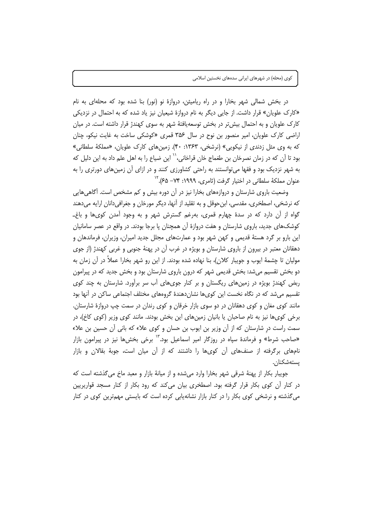در بخش شمالی شهر بخارا و در راه ریامیثن، دروازهٔ نو (نور) بنا شده بود که محلهای به نام «کارک علویان» قرار داشت. از جایی دیگر به نام دروازهٔ شیعیان نیز یاد شده که به احتمال در نزدیکی کارک علویان و به احتمال بیش تر در بخش توسعهیافتهٔ شهر به سوی کهندژ قرار داشته است. در میان اراضی کارک علویان، امیر منصور بن نوح در سال ۳۵۶ قمری «کوشکی ساخت به غایت نیکو، چنان که به وی مثل زدندی از نیکویی» (نرشخی، ۱۳۶۳: ۴۰). زمینهای کارک علویان، «مملکهٔ سلطانی» بود تا آن که در زمان نصرخان بن طغماج خان قراخانی،`` این ضیاع را به اهل علم داد به این دلیل که به شهر نزدیک بود و فقها می توانستند به راحتی کشاورزی کنند و در ازای آن زمینهای دورتری را به عنوان مملکهٔ سلطانی در اختیار گرفت (ثامری، ۱۹۹۹: ۷۴– ۶۵).<sup>۱۲</sup>

وضعیت باروی شارستان و دروازههای بخارا نیز در آن دوره بیش و کم مشخص است. آگاهیهایی که نرشخی، اصطخری، مقدسی، ابن حوقل و به تقلید از آنها، دیگر مورخان و جغرافیدانان ارایه میدهند گواه از آن دارد که در سدهٔ چهارم قمری، بهرغم گسترش شهر و به وجود آمدن کویها و باغ۔ کوشک@ای جدید، باروی شارستان و هفت دروازهٔ آن همچنان یا برجا بودند. در واقع در عصر سامانیان این بارو بر گرد هستهٔ قدیمی و کهن شهر بود و عمارتهای مجلل جدید امیران، وزیران، فرماندهان و دهقانان معتبر در بیرون از باروی شارستان و بویژه در غرب آن در پهنهٔ جنوبی و غربی کهندژ (از جوی مولیان تا چشمهٔ ایوب و جویبار کلان)، بنا نهاده شده بودند. از این رو شهر بخارا عملاً در آن زمان به دو بخش تقسیم می شد: بخش قدیمی شهر که درون باروی شارستان بود و بخش جدید که در پیرامون ربض کهندژ بویژه در زمینهای ریگستان و بر کنار جویهای آب سر برآورد. شارستان به چند کوی تقسیم میشد که در نگاه نخست این کویها نشانِدهندهٔ گروههای مختلف اجتماعی ساکن در آنها بود مانند کوی مغان و کوی دهقانان در دو سوی بازار خرقان و کوی رندان در سمت چپ دروازهٔ شارستان. برخی کویها نیز به نام صاحبان یا بانیان زمینهای این بخش بودند. مانند کوی وزیر (کوی کاخ)، در سمت راست در شارستان که از آن وزیر بن ایوب بن حسان و کوی علاء که بانی آن حسین بن علاء «صاحب شرط» و فرماندهٔ سیاه در روزگار امیر اسماعیل بود.<sup>۱۲</sup> برخی بخشها نیز در پیرامون بازار نامهای برگرفته از صنفهای آن کویها را داشتند که از آن میان است، جوبهٔ بقالان و بازار يستەشكنان.

جوبيار بكار از پهنۀ شرقي شهر بخارا وارد مي شده و از مبانۀ بازار و معيد ماخ مي گذشته است كه در کنار آن کوی بکار قرار گرفته بود. اصطخری بیان می کند که رود بکار از کنار مسجد قواریریین می گذشته و نرشخی کوی بکار را در کنار بازار نشانهپایی کرده است که بایستی مهمترین کوی در کنار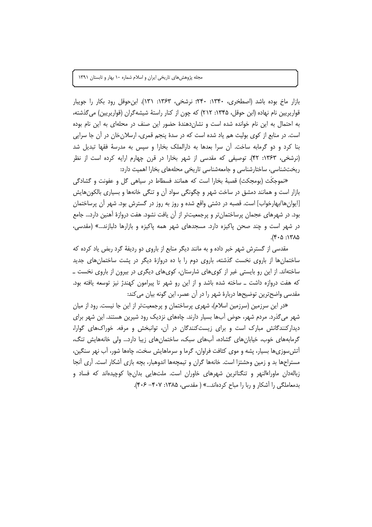بازار ماخ بوده باشد (اصطخرى، ۱۳۴۰: ۲۴۰؛ نرشخى، ۱۳۶۳: ۱۳۱). ابن حوقل رود بكار را جويبار قواریریین نام نهاده (این حوقل، ۱۳۴۵: ۲۱۲) که چون از کنار راستهٔ شیشه گران (قواریریین) می گذشته، به احتمال به این نام خوانده شده است و نشانِدهندهٔ حضور این صنف در محلهای به این نام بوده است. در منابع از کوی بولیث هم یاد شده است که در سدهٔ پنجم قمری، ارسلانخان در آن جا سرایی بنا کرد و دو گرمابه ساخت. آن سرا بعدها به دارالملک بخارا و سپس به مدرسهٔ فقها تبدیل شد (نرشخی، ۱۳۶۳: ۴۲). توصیفی که مقدسی از شهر بخارا در قرن چهارم ارایه کرده است از نظر ریختشناسی، ساختارشناسی و جامعهشناسی تاریخی محلههای بخارا اهمیت دارد:

«نموجكَث (بومجكث) قصبهٔ بخارا است كه همانند فسطاط در سياهي گل و عفونت و گشادگي بازار است و همانند دمشق در ساخت شهر و چگونگی سواد آن و تنگی خانهها و بسیاری بالکونهایش [ایوانها/بهارخواب] است. قصبه در دشتی واقع شده و روز به روز در گسترش بود. شهر آن پرساختمان بود. در شهرهای عجمان پرساختمانتر و پرجمعیتتر از آن یافت نشود. هفت دروازهٔ آهنین دارد... جامع در شهر است و چند صحن پاکیزه دارد. مسجدهای شهر همه پاکیزه و بازارها دلبازند…» (مقدسی، ١٣٨٥: ٢٠۵).

مقدسی از گسترش شهر خبر داده و به مانند دیگر منابع از باروی دو ردیفهٔ گرد ربض یاد کرده که ساختمانها از باروی نخست گذشته، باروی دوم را با ده دروازهٔ دیگر در پشت ساختمانهای جدید ساختهاند. از این رو بایستی غیر از کویهای شارستان، کویهای دیگری در بیرون از باروی نخست ــ که هفت دروازه داشت ــ ساخته شده باشد و از این رو شهر تا پیرامون کهندژ نیز توسعه یافته بود. مقدسی واضح ترین توضیحها دربارهٔ شهر را در آن عصر، این گونه بیان می کند:

«در این سرزمین (سرزمین اسلام)، شهری پرساختمان و پرجمعیتتر از این جا نیست. رود از میان شهر می گذرد. مردم شهر، حوض آبها بسیار دارند. چاههای نزدیک رود شیرین هستند. این شهر برای دیدارکنندگانش مبارک است و برای زیستکنندگان در آن، توانبخش و مرفه. خوراکهای گوارا، گرمابههای خوب، خیابانِهای گشاده، اَبِهای سبک، ساختمانِهای زیبا دارد... ولی خانههایش تنگ، آتش سوزی ها بسیار، پشه و موی کثافت فراوان، گرما و سرماهایش سخت، چاهها شور، آب نهر سنگین، مستراحها بد و زمین وحشتزا است. خانهها گران و تیمچهها اندوهبار، بچه بازی آشکار است. آری آنجا زبالهدان ماوراءالنهر و تنگناترین شهرهای خاوران است. ملتهایی بدانجا کوچیدهاند که فساد و بدمعاملگی را آشکار و ربا را مباح کردهاند...» ( مقدسی، ۱۳۸۵: ۴۰۷– ۴۰۶).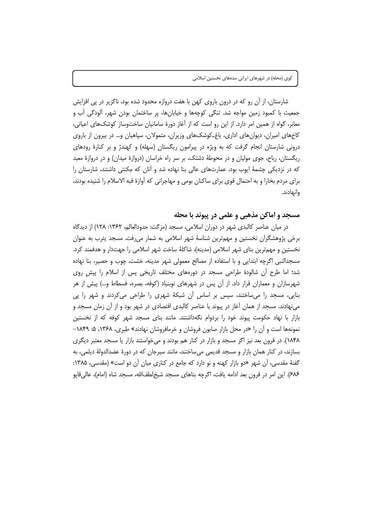شارستان، از آن رو که در درون باروی کهن با هفت دروازه محدود شده بود، ناگزیر در پی افزایش جمعیت یا کمبود زمین مواجه شد. تنگی کوچهها و خیابانها، پر ساختمان بودن شهر، آلودگی آب و معابر، گواه از همین امر دارد. از این رو است که از آغاز دورهٔ سامانیان ساختوساز کوشکهای اعیانی، کاخهای امیران، دیوانهای اداری، باغ\_کوشکهای وزیران، متمولان، سپاهیان و… در بیرون از باروی درونی شارستان انجام گرفت که به ویژه در پیرامون ریگستان (سهله) و کهندژ و بر کنارهٔ رودهای ریگستان، رباح، جوی مولیان و در محوطهٔ دشتک، بر سر راه خراسان (دروازهٔ میدان) و در دروازهٔ معبد که در نزدیکی چشمهٔ ایوب بود، عمارتهای عالی بنا نهاده شد و آنان که مِکنتی داشتند، شارستان را برای مردم بخارا و به احتمال قوی برای ساکنان بومی و مهاجرانی که آوازهٔ قبه الاسلام را شنیده بودند، وانهادند.

#### مسجد و اماکن مذهبی و علمی در پیوند با محله

در میان عناصر کالبدی شهر در دوران اسلامی، مسجد (مزگت: حدودالعالم، ۱۳۶۲: ۱۲۸) از دیدگاه برخی پژوهشگران نخستین و مهمترین شناسهٔ شهر اسلامی به شمار میرفت. مسجد پثرب به عنوان نخستین و مهمترین بنای شهر اسلامی (مدینه)، شاکلهٔ ساخت شهر اسلامی را جهتدار و هدفمند کرد. مسجدالنبی اگرچه ابتدایی و با استفاده از مصالح معمولی شهر مدینه، خشت، چوب و حصیر، بنا نهاده شد؛ اما طرح اّن شالودهٔ طراحی مسجد در دورههای مختلف تاریخی پس از اسلام را پیش روی شهرسازان و معماران قرار داد. از آن پس در شهرهای نوبنیاد (کوفه، بصره، فسطاط و…) پیش از هر بنایی، مسجد را میساختند، سپس بر اساس آن شبکهٔ شهری را طراحی میکردند و شهر را پی می نهادند. مسجد از همان آغاز در پیوند با عناصر کالبدی اقتصادی در شهر بود و از آن زمان مسجد و بازار با نهاد حکومت پیوند خود را بردوام نگهداشتند. مانند بنای مسجد شهر کوفه که از نخستین نمونهها است و آن را «در محل بازار صابون فروشان و خرمافروشان نهادند» طبری، ۱۳۶۸، ۵: ۱۸۴۹– ۱۸۴۸). در قرون بعد نیز اگر مسجد و بازار در کنار هم بودند و می خواستند بازار یا مسجد معتبر دیگری بسازند، در کنار همان بازار و مسجد قدیمی میساختند، مانند سیرجان که در دورهٔ عضدالدولهٔ دیلمی، به گفتهٔ مقدسی، آن شهر «دو بازار کهنه و نو دارد که جامع در کناری میان آن دو است» (مقدسی، ۱۳۸۵: ۶۸۶). این امر در قرون بعد ادامه یافت، اگرچه بناهای مسجد شیخلطفالله، مسجد شاه (امام)، عالی قایو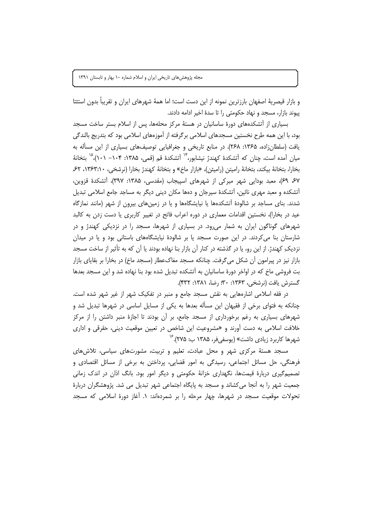و بازار قیصریهٔ اصفهان بارزترین نمونه از این دست است؛ اما همهٔ شهرهای ایران و تقریباً بدون استثتا پیوند بازار، مسجد و نهاد حکومتی را تا سدهٔ اخیر ادامه دادند.

بسیاری از آتشکدههای دورهٔ ساسانیان در هستهٔ مرکز محلهها، پس از اسلام بستر ساخت مسجد بود، با این همه طرح نخستین مسجدهای اسلامی برگرفته از آموزههای اسلامی بود که بتدریج بالندگی یافت (سلطان;اده، ۱۳۶۵: ۲۶۸). در منابع تاریخی و جغرافیایی توصیفهای بسیاری از این مسأله به میان آمده است، چنان که آتشکدهٔ کهندژ نیشابور، ٔ`` آتشکدهٔ قم (قمی، ۱۳۸۵: ۱۰۴– ۱۰۱)،<sup>۱۵</sup> بتخانهٔ بخارا، بتخانة بيكند، بتخانة راميتن (راميثن)، «بازار ماخ» و بتخانة كهندژ بخارا (نرشخی، ١٣۶٣:١٠، ۶۲، ۶۷ ۶۹)، معبد بودایی شهر میرکی از شهرهای اسپیجاب (مقدسی، ۱۳۸۵: ۳۹۷)، آتشکدهٔ قزوین، آتشکده و معبد مهری نائین، آتشکدهٔ سیرجان و دهها مکان دینی دیگر به مساجد جامع اسلامی تبدیل شدند. بنای مساجد بر شالودهٔ اَتشکدهها یا نیایشگاهها و یا در زمینهای بیرون از شهر (مانند نمازگاه عید در بخارا)، نخستین اقدامات معماری در دوره اعراب فاتح در تغییر کاربری یا دست زدن به کالبد شهرهای گوناگون ایران به شمار میرود. در بسیاری از شهرها، مسجد را در نزدیکی کهندژ و در شارستان بنا می کردند. در این صورت مسجد یا بر شالودهٔ نیایشگاههای باستانی بود و یا در میدان نزدیک ِ کهندژ. از این رو، یا در گذشته در کنار آن بازار بنا نهاده بودند یا آن که به تأثیر از ساخت مسجد بازار نیز در پیرامون آن شکل می گرفت. چنانکه مسجد مغاکعطار (مسجد ماخ) در بخارا بر بقایای بازار بت فروشی ماخ که در اواخر دورهٔ ساسانیان به آتشکده تبدیل شده بود بنا نهاده شد و این مسجد بعدها گسترش يافت (نرشخې، ۱۳۶۳: ۳۰؛ رضا، ۱۳۸۱: ۴۳۲).

در فقه اسلامی اشارههایی به نقش مسجد جامع و منبر در تفکیک شهر از غیر شهر شده است. چنانکه به فتوای برخی از فقیهان این مسأله بعدها به یکی از مسایل اساسی در شهرها تبدیل شد و شهرهای بسیاری به رغم برخورداری از مسجد جامع، بر اُن بودند تا اجازهٔ منبر داشتن را از مرکز خلافت اسلامی به دست آورند و «مشروعیت این شاخص در تعیین موقعیت دینی، حقرقی و اداری شهرها کاربرد زیادی داشت» (یوسفیفر، ۱۳۸۵ ب: ۲۷۵).<sup>۱۷</sup>

مسجد هستهٔ مرکزی شهر و محل عبادت، تعلیم و تربیت، مشورتهای سیاسی، تلاشهای فرهنگی، حل مسائل اجتماعی، رسیدگی به امور قضایی، پرداختن به برخی از مسائل اقتصادی و تصمیم گیری دربارهٔ قیمتها، نگهداری خزانهٔ حکومتی و دیگر امور بود. بانگ اذان در اندک زمانی جمعیت شهر را به آنجا می کشاند و مسجد به پایگاه اجتماعی شهر تبدیل می شد. پژوهشگران دربارهٔ تحولات موقعیت مسجد در شهرها، چهار مرحله را بر شمردهاند: ۱. آغاز دورهٔ اسلامی که مسجد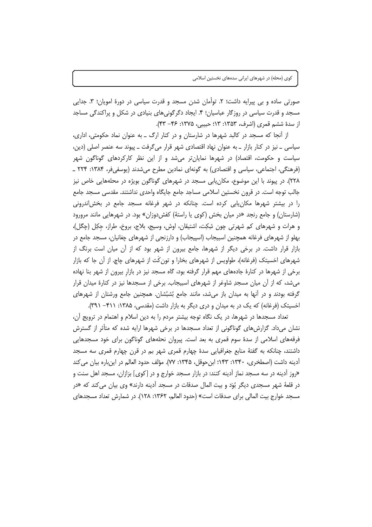صورتی ساده و بی پیرایه داشت؛ ۲. توأمان شدن مسجد و قدرت سیاسی در دورهٔ امویان؛ ۳. جدایی مسجد و قدرت سیاسی در روزگار عباسیان؛ ۴. ایجاد دگرگونیهای بنیادی در شکل و پراکندگی مساجد از سدهٔ ششم قمری (اشرف، ۱۳۵۳: ۱۳: حبیبی، ۱۳۷۵: ۴۶– ۴۳).

از آنجا که مسجد در کالبد شهرها در شارستان و در کنار ارگ ــ به عنوان نماد حکومتی، اداری، سیاسی ـ نیز در کنار بازار ـ به عنوان نهاد اقتصادی شهر قرار می گرفت ـ پیوند سه عنصر اصلی (دین، سیاست و حکومت، اقتصاد) در شهرها نمایانتر میشد و از این نظر کارکردهای گوناگون شهر (فرهنگی، اجتماعی، سیاسی و اقتصادی) به گونهای نمادین مطرح می شدند (یوسفی فر، ۱۳۸۴: ۲۲۴ \_ ٢٢٨). در پیوند با این موضوع، مکان پابی مسجد در شهرهای گوناگون بویژه در محلههایی خاص نیز جالب توجه است. در قرون نخستین اسلامی مساجد جامع جایگاه واحدی نداشتند. مقدسی مسجد جامع را در بیشتر شهرها مکان یابی کرده است. چنانکه در شهر فرغانه مسجد جامع در بخش اندرونی (شارستان) و جامع رنجد «در میان بخش (کوی یا راستهٔ) کفش دوزان» بود. در شهرهایی مانند مرورود و هرات و شهرهای کم شهرتی چون شِکِت، اشتیقان، اوش، وسیج، بلاج، بروخ، طراز، جکِل (چگل)، بهلو از شهرهای فرغانه همچنین اسبیجاب (اسپیجاب) و دارزنجی از شهرهای چغانیان، مسجد جامع در بازار قرار داشت. در برخی دیگر از شهرها، جامع بیرون از شهر بود که از آن میان است برنگ از شهرهای اخسیتک (فرغانه)، طواویس از شهرهای بخارا و تون کث از شهرهای چاچ. از آن جا که بازار برخی از شهرها در کنارهٔ جادههای مهم قرار گرفته بود، گاه مسجد نیز در بازار بیرون از شهر بنا نهاده میشد، که از آن میان مسجدِ شاوغر از شهرهای اسبیجاب. برخی از مسجدها نیز در کنارهٔ میدان قرار گرفته بودند و در آنها به میدان باز میشد، مانند جامع بُشبُشان. همچنین جامع ورشتان از شهرهای اخسیتک (فرغانه) که یک در به میدان و دری دیگر به بازار داشت (مقدسی، ۱۳۸۵: ۴۱۱– ۳۹۱).

تعداد مسجدها در شهرها، در یک نگاه توجه بیشتر مردم را به دین اسلام و اهتمام در ترویج آن، نشان میداد. گزارشهای گوناگونی از تعداد مسجدها در برخی شهرها ارایه شده که متأثر از گسترش فرقههای اسلامی از سدهٔ سوم قمری به بعد است. پیروان نحلههای گوناگون برای خود مسجدهایی داشتند، چنانکه به گفتهٔ منابع جغرافیایی سدهٔ چهارم قمری شهر بم در قرن چهارم قمری سه مسجد آدينه داشت (اصطخرى، ١٣۴٠: ١٤٣: ابن حوقل، ١٣۴۵: ٧٧). مؤلف حدود العالم در اين باره بيان مي كند «روز آدینه در سه مسجد نماز آدینه کنند: در بازار مسجد خوارج و در [کوی] بزازان، مسجد اهل سنت و در قلعهٔ شهر مسجدی دیگر بُوَد و بیت المال صدقات در مسجد اَدینه دارند» وی بیان می کند که «در مسجد خوارج بيت المالي براي صدقات است» (حدود العالم، ١٣۶٢: ١٢٨). در شمارش تعداد مسجدهاي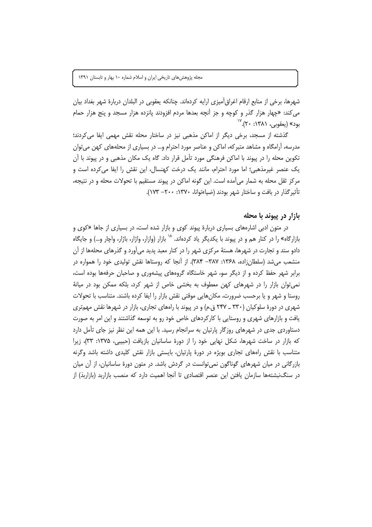شهرها، برخی از منابع ارقام اغراق[آمیزی ارایه کردهاند. چنانکه یعقوبی در البلدان دربارهٔ شهر بغداد بیان می کند: «چهار هزار گذر و کوچه و جز آنچه بعدها مردم افزودند یانزده هزار مسجد و پنج هزار حمام بود» (يعقوبي، ١٣٨١: ٢٠). ```

گذشته از مسجد، برخی دیگر از اماکن مذهبی نیز در ساختار محله نقش مهمی ایفا می کردند؛ مدرسه، آرامگاه و مشاهد متبر که، اماکن و عناصر مورد احترام و… در بسیاری از محلههای کهن می توان تکوین محله را در پیوند با اماکن فرهنگی مورد تأمل قرار داد. گاه یک مکان مذهبی و در پیوند با آن یک عنصر غیرمذهبی؛ اما مورد احترام، مانند یک درخت کهنسال، این نقش را ایفا می کرده است و مرکز ثقل محله به شمار می آمده است. این گونه اماکن در پیوند مستقیم با تحولات محله و در نتیجه، تأثير گذار در بافت و ساختار شهر بودند (ضياءتوانا، ١٣٧٠: ٢٠٠- ١٧٣).

#### بازار در پیوند با محله

در متون ادبی اشارههای بسیاری دربارهٔ پیوند کوی و بازار شده است، در بسیاری از جاها «کوی و بازارگاه» را در کنار هم و در پیوند با یکدیگر یاد کردهاند. <sup>۱۸</sup> بازار (وازار، واژار، باژار، واچار و…) و جایگاه دادو ستد و تجارت در شهرها، هستهٔ مرکزی شهر را در کنار معبد پدید می آورد و گذرهای محلهها از آن منشعب میشد (سلطانزاده، ۱۳۶۸: ۱۳۸۷– ۳۸۴). از آنجا که روستاها نقش تولیدی خود را همواره در برابر شهر حفظ کرده و از دیگر سو، شهر خاستگاه گروههای پیشهوری و صاحبان حرفهها بوده است، نمی توان بازار را در شهرهای کهن معطوف به بخشی خاص از شهر کرد، بلکه ممکن بود در میانهٔ روستا و شهر و یا برحسب ضرورت، مکانهایی موقتی نقش بازار را ایفا کرده باشند. متناسب با تحولات شهری در دورهٔ سلوکیان (۳۳۰ ـ ۲۴۷ ق.م) و در پیوند با راههای تجاری، بازار در شهرها نقش مهمتری یافت و بازارهای شهری و روستایی با کارکردهای خاص خود رو به توسعه گذاشتند و این امر به صورت دستاوردی جدی در شهرهای روزگار پارتیان به سرانجام رسید. با این همه این نظر نیز جای تأمل دارد که بازار در ساخت شهرها، شکل نهایی خود را از دورهٔ ساسانیان بازیافت (حبیبی، ۱۳۷۵: ۳۳)، زیرا متناسب با نقش رامهای تجاری بویژه در دورهٔ پارتیان، بایستی بازار نقش کلیدی داشته باشد وگرنه بازرگانی در میان شهرهای گوناگون نمی توانست در گردش باشد. در متون دورهٔ ساسانیان، از آن میان در سنگ<code>نبشتهھا</code> سازمان یافتن این عنصر اقتصادی تا اَنجا اهمیت دارد که منصب بازاربد (بازاربذ) از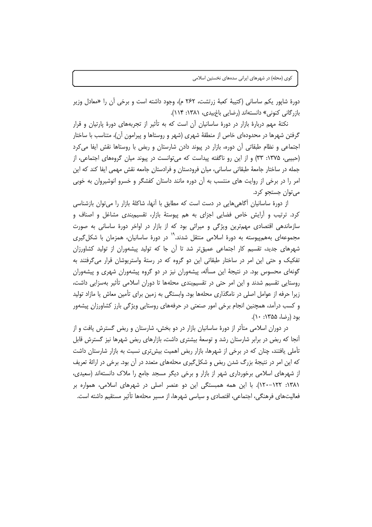دورهٔ شاپور یکم ساسانی (کتیبهٔ کعبهٔ زرتشت، ۲۶۲ م)، وجود داشته است و برخی آن را «معادل وزیر بازرگانی کنونی» دانستهاند (رضایی باغ بیدی، ۱۳۸۱: ۱۱۴).

نکتهٔ مهم دربارهٔ بازار در دورهٔ ساسانیان آن است که به تأثیر از تجربههای دورهٔ پارتیان و قرار گرفتن شهرها در محدودهای خاص از منطقهٔ شهری (شهر و روستاها و پیرامون آن)، متناسب با ساختار اجتماعی و نظام طبقاتی آن دوره، بازار در پیوند دادن شارستان و ربض با روستاها نقش ایفا می کرد (حبیبی، ۱۳۷۵: ۳۳) و از این رو ناگفته پیداست که می توانست در پیوند میان گروههای اجتماعی، از جمله در ساختار جامعهٔ طبقاتی ساسانی، میان فرودستان و فرادستان جامعه نقش مهمی ایفا کند که این امر را در برخی از روایت های منتسب به آن دوره مانند داستان کفشگر و خسرو انوشیروان به خوبی مي توان جستجو کرد.

از دورهٔ ساسانیان اَگاهیِ هایی در دست است که مطابق با اَنها، شاکلهٔ بازار را می توان بازشناسی کرد. ترتیب و آرایش خاص فضایی اجزای به هم پیوستهٔ بازار، تقسیمiندی مشاغل و اصناف و سازماندهی اقتصادی مهمترین ویژگی و میراثی بود که از بازار در اواخر دورهٔ ساسانی به صورت مجموعهای بههمپیوسته به دورهٔ اسلامی منتقل شدند.<sup>۱۹</sup> در دورهٔ ساسانیان، همزمان با شکل *گ*یری شهرهای جدید، تقسیم کار اجتماعی عمیقتر شد تا آن جا که تولید پیشهوران از تولید کشاورزان تفکیک و حتی این امر در ساختار طبقاتی این دو گروه که در رستهٔ واستریوشان قرار میگرفتند به گونهای محسوس بود. در نتیجهٔ این مسأله، پیشهوران نیز در دو گروه پیشهوران شهری و پیشهوران روستایی تقسیم شدند و این امر حتی در تقسیمبندی محلهها تا دوران اسلامی تأثیر بهسزایی داشت، زیرا حرفه از عوامل اصلی در نامگذاری محلهها بود. وابستگی به زمین برای تأمین معاش یا مازاد تولید و کسب درآمد، همچنین انجام برخی امور صنعتی در حرفههای روستایی ویژگی بارز کشاورزان پیشهور بود (رضا، ۱۳۵۵: ۱۰).

در دوران اسلامی متأثر از دورهٔ ساسانیان بازار در دو بخش، شارستان و ربض گسترش یافت و از آنجا که ربض در برابر شارستان رشد و توسعهٔ بیشتری داشت، بازارهای ربض شهرها نیز گسترش قابل تأملی یافتند، چنان که در برخی از شهرها، بازار ربض اهمیت بیش تری نسبت به بازار شارستان داشت که این امر در نتیجهٔ بزرگ شدن ربض و شکلگیری محلههای متعدد در آن بود. برخی در ارائهٔ تعریف از شهرهای اسلامی برخورداری شهر از بازار و برخی دیگر مسجد جامع را ملاک دانستهاند (سعیدی، ۱۳۸۱: ۱۲۲–۱۲۰). با این همه همبستگی این دو عنصر اصلی در شهرهای اسلامی، همواره بر فعالیتهای فرهنگی، اجتماعی، اقتصادی و سیاسی شهرها، از مسیر محلهها تأثیر مستقیم داشته است.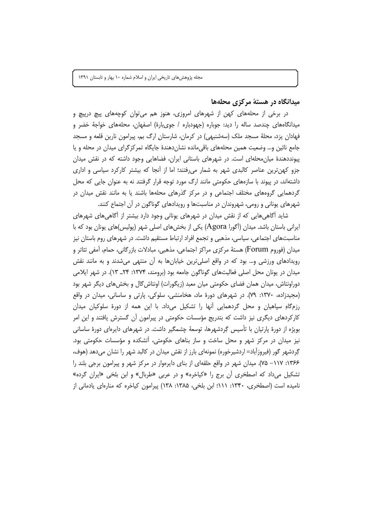#### میدانگاه در هستهٔ مرکزی محلهها

در برخی از محلههای کهن از شهرهای امروزی، هنوز هم می¤وان کوچههای پیچ درپیچ و میدانگاههای چندصد ساله را دید: جوباره (جهودباره / جویبارهٔ) اصفهان، محلههای خواجهٔ خضر و فهادان یزد، محلهٔ مسجد ملک (سهشنبهی) در کرمان، شارستان ارگ بم، پیرامون نارین قلعه و مسجد جامع نائین و… وضعیت همین محلههای باقی مانده نشان دهندهٔ جایگاه تمر کز گرای میدان در محله و یا پیونددهندهٔ میان محلهای است. در شهرهای باستانی ایران، فضاهایی وجود داشته که در نقش میدان جزو کهن ترین عناصر کالبدی شهر به شمار می فتند؛ اما از آنجا که بیشتر کارکرد سیاسی و اداری داشتهاند، در پیوند با سازههای حکومتی مانند ارگ مورد توجه قرار گرفتند نه به عنوان جایی که محل گردهمایی گروههای مختلف اجتماعی و در مرکز گذرهای محلهها باشند یا به مانند نقش میدان در شهرهای یونانی و رومی، شهروندان در مناسبتها و رویدادهای گوناگون در آن اجتماع کنند.

شاید آگاهی هایی که از نقش میدان در شهرهای یونانی وجود دارد بیشتر از آگاهی های شهرهای ایرانی باستان باشد. میدان (اَگورا Agora) یکی از بخشهای اصلی شهر (پولیس)های یونان بود که با مناسبتهای اجتماعی، سیاسی، مذهبی و تجمع افراد ارتباط مستقیم داشت. در شهرهای روم باستان نیز میدان (فوروم Forum) هستهٔ مرکزی مراکز اجتماعی، مذهبی، مبادلات بازرگانی، حمام، آمفی تئاتر و رویدادهای ورزشی و… بود که در واقع اصلیترین خیابانها به آن منتهی میشدند و به مانند نقش میدان در یونان محل اصلی فعالیتهای گوناگون جامعه بود (برومند، ۱۳۷۴: ۲۴\_ ۱۳). در شهر ایلامی دوراونتاش، میدان همان فضای حکومتی میان معبد (زیگورات) اونتاش گال و بخش های دیگر شهر بود (مجیدزاده، ۱۳۷۰: ۷۹). در شهرهای دورهٔ ماد، هخامنشی، سلوکی، پارتی و ساسانی، میدان در واقع رزمگاهِ سیاهیان و محل گردهمایی اَنها را تشکیل میداد. با این همه از دورهٔ سلوکیان میدان کارکردهای دیگری نیز داشت که بتدریج مؤسسات حکومتی در پیرامون آن گسترش یافتند و این امر بویژه از دورهٔ پارتیان با تأسیس گِردشهرها، توسعهٔ چشمگیر داشت. در شهرهای دایرهای دورهٔ ساسانی نیز میدان در مرکز شهر و محل ساخت و ساز بناهای حکومتی، آتشکده و مؤسسات حکومتی بود. گِردشهر گور (فیروزآباد= اردشیرخوره) نمونهای بارز از نقش میدان در کالبد شهر را نشان میدهد (هوف، ۱۳۶۶: ۱۱۷– ۷۵). میدان شهر در واقع حلقهای از بنای دایرهوار در مرکز شهر و پیرامون برجی بلند را تشکیل میداد که اصطخری آن برج را «کیاخره» و در عربی «طربال» و ابن بلخی «ایران گرده» نامیده است (اصطخری، ۱۳۴۰: ۱۱۱؛ ابن بلخی، ۱۳۸۵: ۱۳۸) پیرامون کیاخره که منارهای یادمانی از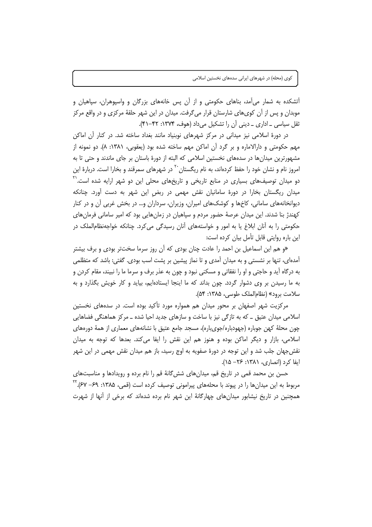أتشکده به شمار میآمد، بناهای حکومتی و از آن پس خانههای بزرگان و واسپوهران، سپاهیان و موبدان و پس از آن کوی،های شارستان قرار می گرفت. میدان در این شهر حلقهٔ مرکزی و در واقع مرکز ثقل سیاسی ـ اداری ـ دینی آن را تشکیل می داد (هوف، ۱۳۷۴: ۴۲-۴۱).

در دورهٔ اسلامی نیز میدانی در مرکز شهرهای نوبنیاد مانند بغداد ساخته شد. در کنار آن اماکن مهم حکومتی و دارالاماره و بر گرد آن اماکن مهم ساخته شده بود (یعقوبی، ۱۳۸۱: ۸). دو نمونه از مشهورترین میدانها در سدههای نخستین اسلامی که البته از دورهٔ باستان بر جای ماندند و حتی تا به امروز نام و نشان خود را حفظ کردهاند، به نام ریگستان <sup>۲۰</sup> در شهرهای سمرقند و بخارا است. دربارهٔ این دو میدان توصیفهای بسیاری در منابع تاریخی و تاریخهای محلی این دو شهر ارایه شده است.<sup>۲۱</sup> میدان ریگستان بخارا در دورهٔ سامانیان نقش مهمی در ربض این شهر به دست آورد. چنانکه دیوانخانههای سامانی، کاخها و کوشکهای امیران، وزیران، سرداران و… در بخش غربی آن و در کنار کهندژ بنا شدند. این میدان عرصهٔ حضور مردم و سپاهیان در زمانهایی بود که امیر سامانی فرمانهای حکومتی را به آنان ابلاغ یا به امور و خواستههای آنان رسیدگی می کرد. چنانکه خواجهنظامالملک در این باره روایتی قابل تأمل بیان کرده است:

«و هم این اسماعیل بن احمد را عادت چنان بودی که آن روز سرما سختتر بودی و برف بیشتر آمدهای، تنها بر نشستی و به میدان آمدی و تا نماز پیشین بر پشت اسب بودی. گفتی: باشد که متظلمی به درگاه آيد و حاجتي و او را نفقاتي و مسكني نبود و چون به عذر برف و سرما ما را نبيند، مقام كردن و به ما رسیدن بر وی دشوار گردد. چون بداند که ما اینجا ایستادهایم، بیاید و کار خویش بگذارد و به سلامت برود» (نظام الملک طوسی، ۱۳۸۵: ۵۴).

مرکزیت شهر اصفهان بر محور میدان هم همواره مورد تأکید بوده است. در سدههای نخستین اسلامی میدان عتیق ــ که به تازگی نیز با ساخت و سازهای جدید احیا شده ــ مرکز هماهنگی فضاهایی چون محلهٔ کهن جوباره (جهودباره/جویباره)، مسجد جامع عتیق با نشانههای معماری از همهٔ دورههای اسلامی، بازار و دیگر اماکن بوده و هنوز هم این نقش را ایفا می کند. بعدها که توجه به میدان نقش<هان جلب شد و این توجه در دورهٔ صفویه به اوج رسید، باز هم میدان نقش مهمی در این شهر ابفا کرد (انصاری، ۱۳۸۱: ۲۶– ۱۵).

حسن بن محمد قمی در تاریخ قم، میدانهای شش گانهٔ قم را نام برده و رویدادها و مناسبتهای مربوط به این میدانها را در پیوند با محلههای پیرامونی توصیف کرده است (قمی، ۱۳۸۵: ۶۹– ۶۷). <sup>۲۲</sup> همچنین در تاریخ نیشابور میدان های چهارگانهٔ این شهر نام برده شدهاند که برخی از آنها از شهرت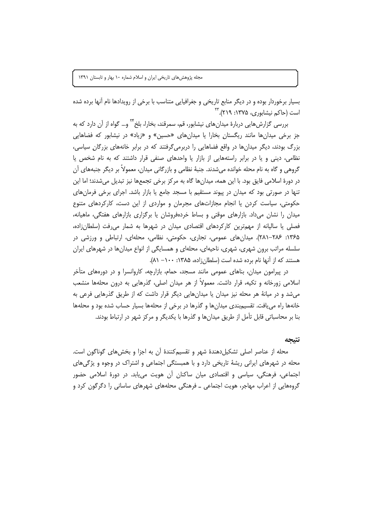بسیار برخوردار بوده و در دیگر منابع تاریخی و جغرافیایی متناسب با برخی از رویدادها نام آنها برده شده است (حاکم نیشابوری، ۱۳۷۵: ۲۱۹).<sup>۲۳</sup>

بررسی گزارشهایی دربارهٔ میدانهای نیشابور، قم، سمرقند، بخارا، بلخ<sup>۲۲</sup> و… گواه از آن دارد که به جز برخی میدانها مانند ریگستان بخارا یا میدانهای «حسین» و «زیاد» در نیشابور که فضاهایی بزرگ بودند، دیگر میدانها در واقع فضاهایی را دربرمی گرفتند که در برابر خانههای بزرگان سیاسی، نظامی، دینی و یا در برابر راستههایی از بازار یا واحدهای صنفی قرار داشتند که به نام شخص یا گروهی و گاه به نام محله خوانده می شدند. جنبهٔ نظامی و بازرگانی میدان، معمولاً بر دیگر جنبههای آن در دورهٔ اسلامی فایق بود. با این همه، میدانها گاه به مرکز برخی تجمعها نیز تبدیل می شدند؛ اما این تنها در صورتی بود که میدان در پیوند مستقیم با مسجد جامع یا بازار باشد. اجرای برخی فرمان های حکومتی، سیاست کردن یا انجام مجازاتهای مجرمان و مواردی از این دست، کارکردهای متنوع میدان را نشان میداد. بازارهای موقتی و بساط خردهفروشان یا برگزاری بازارهای هفتگی، ماهیانه، فصلی یا سالیانه از مهمترین کارکردهای اقتصادی میدان در شهرها به شمار میرفت (سلطانزاده، ۱۳۶۵: ۲۸۶–۲۸۱). میدانهای عمومی، تجاری، حکومتی، نظامی، محلهای، ارتباطی و ورزشی در سلسله مراتب برون شهری، شهری، ناحیهای، محلهای و همسایگی از انواع میدانها در شهرهای ایران هستند که از آنها نام برده شده است (سلطان;اده، ۱۳۸۵: ۱۰۰– ۸۱).

در پیرامون میدان، بناهای عمومی مانند مسجد، حمام، بازارچه، کاروانسرا و در دورههای متأخر اسلامی زورخانه و تکیه، قرار داشت. معمولاً از هر میدان اصلی، گذرهایی به درون محلهها منشعب می شد و در میانهٔ هر محله نیز میدان یا میدانهایی دیگر قرار داشت که از طریق گذرهایی فرعی به خانهها راه می یافت. تقسیم بندی میدانها و گذرها در برخی از محلهها بسیار حساب شده بود و محلهها بنا بر محاسباتی قابل تأمل از طریق میدانها و گذرها با یکدیگر و مرکز شهر در ارتباط بودند.

#### نتبجه

محله از عناصر اصلی تشکیلدهندهٔ شهر و تقسیمکنندهٔ آن به اجزا و بخشهای گوناگون است. محله در شهرهای ایرانی ریشهٔ تاریخی دارد و با همبستگی اجتماعی و اشتراک در وجوه و پژگیهای اجتماعی، فرهنگی، سیاسی و اقتصادی میان ساکنان آن هویت می یابد. در دورهٔ اسلامی حضور گروههایی از اعراب مهاجر، هویت اجتماعی ــ فرهنگی محلههای شهرهای ساسانی را دگرگون کرد و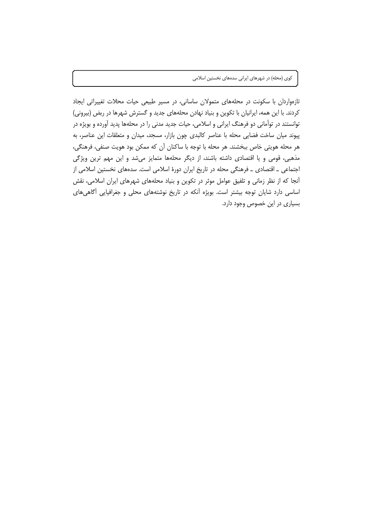تازهواردان با سکونت در محلههای متمولان ساسانی، در مسیر طبیعی حیات محلات تغییراتی ایجاد کردند. با این همه، ایرانیان با تکوین و بنیاد نهادن محلههای جدید و گسترش شهرها در ربض (بیرونی) توانستند در توأمانی دو فرهنگ ایرانی و اسلامی، حیات جدید مدنی را در محلهها پدید آورده و بویژه در پیوند میان ساخت فضایی محله با عناصر کالبدی چون بازار، مسجد، میدان و متعلقات این عناصر، به هر محله هويتي خاص ببخشند. هر محله با توجه با ساكنان آن كه ممكن بود هويت صنفي، فرهنگي، مذهبی، قومی و یا اقتصادی داشته باشند، از دیگر محلهها متمایز میشد و این مهم ترین ویژگی اجتماعی ـ اقتصادی ـ فرهنگی محله در تاریخ ایران دورهٔ اسلامی است. سدههای نخستین اسلامی از آنجا که از نظر زمانی و تلفیق عوامل موثر در تکوین و بنیاد محلههای شهرهای ایران اسلامی، نقش اساسی دارد شایان توجه بیشتر است. بویژه أنکه در تاریخ نوشتههای محلی و جغرافیایی أگاهیهای بسیاری در این خصوص وجود دارد.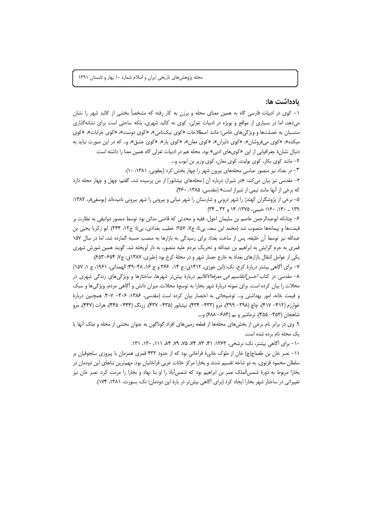#### ىادداشت ھا:

۱– کوی در ادبیات فارسی گاه به همین معنای محله و برزن به کار رفته که مشخصاً بخشی از کالبد شهر را نشان میدهد، اما در بسیاری از مواقع و بویژه در ادبیات تغزلی، کوی نه کالبد شهری، بلکه ساحتی است برای نشانهگذاری منتسبان به خصلتها و ویژگیهای خاص؛ مانند اصطلاحات «کوی نیکنامی»، «کوی دوست»، «کوی خرابات»، «کوی میکده»، «کوی میفروشان»، «کوی دلبران»، «کوی مغان»، «کوی پار»، «کوی عشق»، و.. که در این صورت نباید به دنبال نشانهٔ جغرافیایی از این «کویهای ادبی» بود. محله هم در ادبیات تغزلی گاه همین معنا را داشته است.

۲– مانند کوی بکار، کوی بولیث، کوی مغان، کوی وزیر بن ایوب و…

٣- در بغداد نیز منصور عباسی محلههای بیرون شهر را چهار بخش کرد (یعقوبی، ١٣٨١: ١٠).

۴- مقدسی نیز بیان می کند: «در شیراز، درباره آن [محلههای نیشابور] از من پرسیده شد، گفتم: چهل و چهار محله دارد که برخی از آنها مانند نیمی از شیراز است» (مقدسی، ۱۳۸۵: ۴۶۰).

۵– برخی از پژوشگران کهندژ را شهر درونی و شارستان را شهر میانی و بیرونی را شهر بیرونی نامیدهاند (پوسفیفر، ۱۳۸۲: ١٣٩ \_ ١۴٠، ١٤٠: حبيبي، ١٣٧۵: ١۴ و ٣٢ \_ ٣٣)

۶– چنانکه ابوعبدالرحمن عاصم بن سليمان احول، فقيه و محدثي که قاضي مدائن بود توسط منصور دوانيقي به نظارت بر قیمتها و پیمانهها منصوب شد (محمد ابن سعد، بیتا: ج٧، ٢۵٧؛ خطیب بغدادی، بیتا: ج١٢، ٢۴۴). ابو زكریا یحیی بن عبدالله نیز توسط آن خلیفه، پس از ساخت بغداد برای رسیدگی به بازارها به منصب حسبه گمارده شد، اما در سال ۱۵۷ قمری به جرم گرایش به ابراهیم بن عبدالله و تحریک مردم علیه منصور، به دار آویخته شد. گویند همین شورش شهری يکي از عوامل انتقال بازارهاي بغداد به خارج حصار شهر و در محلهٔ کرخ بود (طبري، ۱۳۸۷ق: ج۷، ۶۵۴–۶۵۳).

۷– برای آگاهی بیشتر دربارهٔ کرخ، نک: (ابن جوزی، ۱۴۱۲ق: ج ۱۴، ۳۶۶ و ج ۱۶، ۴۸–۴۹؛ الهمدانی، ۱۹۶۱، ج ۱، ۱۵۷) ۸– مقدسی در کتاب *احسن التقاسیم فی معرفهالاقالی*م دربارهٔ بیش تر شهرها، ساختارها و ویژگیهای زندگی شهری در محلات را بیان کرده است. برای نمونه دربارهٔ شهر بخارا به توسعهٔ محلات، میزان دانش و آگاهی مردم، ویژگیها و سبک و قیمت خانه، امور بهداشتی و… توضیحاتی به اختصار بیان کرده است (مقدسی، ۱۳۸۶: ۴۰۶– ۴۰۷. همچنین دربارهٔ خوارزم (۴۱۲ – ۴۱۷)، چاچ (۳۹۸ – ۳۹۹)، مرو (۴۳۳ – ۴۳۴)، نيشابور (۴۳۵ – ۴۳۷)، زرنگ (۴۴۴– ۴۴۵)، هرات (۴۴۷)، مرو شاهجان (۴۵۳– ۴۵۵)، نرماشیر و بم (۶۸۴– ۶۸۸) و....

۹. وی در برابر نام برخی از بخش های محلهها از قطعه زمین های افراد گوناگون به عنوان بخشی از محله و مِلک آنها یا یک محله نام برده شده است.

١٠- برای أگاهی بیشتر، نک: نرشخی، ١٣۶٣: ۴١، ٧٣، ٧٣، ٧٥، ٨٩، ١٨، ١١١، ١٣٠، ١٣١.

١١- نصر خان بن طغماج(چ) خان از ملوک خانیءً قراخانی بود که از حدود ۴۳۲ قمری همزمان با پیروزی سلجوقیان بر سلطان محمود قزنوی، به دو شاخه تقسیم شدند و بخارا مرکز خانات غربی قراخانیان بود. مهمترین بناهای این دودمان در بخارا مربوط به دورهٔ شمس الملک نصر بن ابراهیم بود که شمس آباد را او بنا نهاد و بخارا را مرمت کرد. نصر خان نیز تغییراتی در ساختار شهر بخارا ایجاد کرد (برای آگاهی بیش تر در بارهٔ این دودمان؛ نک: بسورث، ۱۳۸۱، ۱۷۴).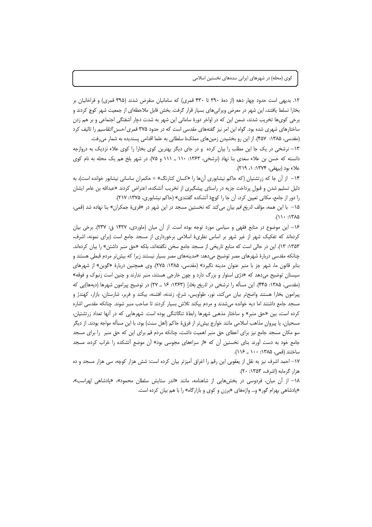۱۲. بدیهی است حدود چهار دهه (از دههٔ ۳۹۰ تا ۴۳۰ قمری) که سامانیان منقرض شدند (۳۹۵ قمری) و قراخانیان بر بخارا تسلط یافتند، این شهر در معرض ویرانیهای بسیار قرار گرفت. بخش قابل ملاحظهای از جمعیت شهر کوچ کردند و برخی کویها تخریب شدند، ضمن این که در اواخر دورهٔ سامانی این شهر به شدت دچار آشفتگی اجتماعی و بر هم زدن ساختارهای شهری شده بود. گواه این امر نیز گفتههای مقدسی است که در حدود ۳۷۵ قمری/*حسن التقاسیم* را تالیف کرد (مقدسی، ۱۳۸۵: ۴۵۷). از این رو بخشیدن زمین های مملکهٔ سلطانی به علما اقدامی پسندیده به شمار می رفت.

۱۳ – نرشخی در یک جا این مطلب را بیان کرده و در جای دیگر بهترین کوی بخارا را کوی علاء نزدیک به دروازجه دانسته که حسن بن علاء سغدی بنا نهاد (نرشخی، ۱۳۶۳: ۱۱۰ \_ ۱۱۱ و ۷۵). در شهر بلخ هم یک محله به نام کوی علاء بود (بيهقى، ١٣٧۴: ١، ٢١٩).

۱۴ – از آن جا که زرتشتیان (که حاکم نیشابوری آنها را «کسان کنارنگ» = حکمران ساسانی نیشابور خوانده است)، به دلیل تسلیم شدن و قبول پرداخت جزیه در راستای پیشگیری از تخریب آتشکده، اعتراض کردند «عبدالله بن عامر ایشان را دور از جامع، مکانی تعیین کرد، آن جا را کوچهٔ آتشکده گفتندی» (حاکم نیشابوری، ۱۳۷۵: ۲۱۷).

۱۵ – با این همه، مؤلف *تاریخ قم* بیان می کند که نخستین مسجد در این شهر در «قریءٔ جمکران» بنا نهاده شد (قمی،  $\Delta \wedge \cdots \wedge \wedge$ 

۱۶- این موضوع در منابع فقهی و سیاسی مورد توجه بوده است. از آن میان (ماوردی، ۱۴۲۷ ق: ۲۳۷). برخی بیان کردهاند که تفکیک شهر از غیر شهر بر اساس نظریءً اسلامی برخورداری از مسجد جامع است (برای نمونه، اشرف، ۱۳۵۳: ۱۳). این در حالی است که منابع تاریخی از مسجد جامع سخن نگفتهاند، بلکه «حق منبر داشتن» را بیان کردهاند. چنانکه مقدسی دربارهٔ شهرهای مصر توضیح میدهد: «مدینههای مصر بسیار نیستند زیرا که بیش تر مردم قبطی هستند و بنابر قانون ما، شهر جز با منبر عنوان مدینه نگیرد» (مقدسی، ۱۳۸۵: ۲۷۵). وی همچنین دربارهٔ «گوین» از شهرهای سیستان توضیح میدهد که «دژی استوار و بزرگ دارد و چون خارجی هستند، منبر ندارند و چنین است زنبوک و فوقه» (مقدسی، ۱۳۸۵: ۴۴۵). این مسأله را نرشخی در ت*اریخ بخارا* (۱۳۶۳: ۱۶ ـ ۲۷) در توضیح پیرامون شهرها (دیهها)یی که پیرامون بخارا هستند واضحتر بیان میکند، نور، طواویس، شرغ، زندنه، افشنه، بیکند و فربر، شارستان، بازار، کهندژ و مسجد جامع داشتند اما دیه خوانده میشدند و مردم بیکند تلاش بسیار کردند تا صاحب منبر شوند. چنانکه مقدسی اشاره کرده است، بین «حق منبر» و ساختار مذهبی شهرها رابطهٔ تنگاتنگی بوده است. شهرهایی که در آنها تعداد زرتشتیان، مسحیان، یا پیروان مذاهب اسلامی مانند خوارج بیش تر از فرقءً حاکم (اهل سنت) بود، با این مسأله مواجه بودند. از دیگر سو مکان مسجد جامع نیز برای اعطای حق منبر اهمیت داشت، چنانکه مردم قم برای این که حق منبر را برای مسجد جامع خود به دست اَورند بنای نخستین اَن که «از سراءهای مجوسی بود» اَن موضع اَتشکده را خراب کرده، مسجد ساختند (قمی، ۱۳۸۵: ۱۰۰ \_ ۱۱۶).

١٧- احمد اشرف نيز به نقل از يعقوبي اين رقم را اغراق آميزتر بيان كرده است: شش هزار كوچه، سي هزار مسجد و ده هزار گرمابه (اشرف، ۱۳۵۳: ۲۰).

١٨- از آن ميان، فردوسي در بخشهايي از شاهنامه، مانند «اندر ستايش سلطان محمود»، «يادشاهي لهراسب»، «پادشاهی بهرام گور» و… واژههای «برزن و کوی و بازارگاه» را با هم بیان کرده است.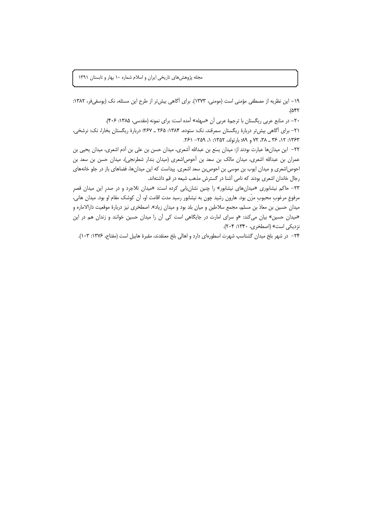١٩- این نظریه از مصطفی مؤمنی است (مومنی، ١٣٧٣). برای أگاهی بیش تر از طرح این مسئله، نک (یوسفیفر، ١٣٨٢:  $.(\Delta$ ۴۲

۲۰– در منابع عربی ریگستان با ترجمهٔ عربی آن «سهله» آمده است: برای نمونه (مقدسی، ۱۳۸۵: ۴۰۶).

٢١- برای أگاهی بیش تر دربارهٔ ریگستان سمرقند، نک: ستوده، ١٣٨۴: ٢۶۵ ـ ٢۶٧: دربارهٔ ریگستان بخارا، نک: نرشخی، ٣۶٣: ١٢، ٣۶ \_ ٣٨، ٧٢ و ٨٩؛ بارتولد، ١٣٥٢: ١، ٢٥٩- ٢۶١.

٢٢– این میدانها عبارت بودند از: میدان یسَع بن عبدالله أشعری، میدان حسن بن علی بن أدم اشعری، میدان یحیی بن عمران بن عبدالله اشعری، میدان مالک بن سعد بن أحوص|شعری (میدان بندار شطرنجی)، میدان حسن بن سعد بن احوص|شعری و میدان ایوب بن موسی بن احوص بن سعد اشعری. پیداست که این میدانها، فضاهای باز در جلو خانههای رجال خاندان اشعری بودند که نامی آشنا در گسترش مذهب شیعه در قم داشتهاند.

٢٣- حاكم نيشابوري «ميدانهاي نيشابور» را چنين نشان يابي كرده است: «ميدان تلاجرد و در صدر اين ميدان قصر مرفوع مرغوب محبوب مزّن بود. هارون رشید چون به نیشابور رسید مدت اقامت او، آن کوشک مقام او بود. میدان هانی، میدان حسین بن معاذ بن مسلم، مجمع سلاطین و میان بلد بود و میدان زیاد». اصطخری نیز دربارهٔ موقعیت دارالاماره و «میدان حسین» بیان می کند: «و سرای امارت در جایگاهی است کی آن را میدان حسین خوانند و زندان هم در این نزدیکی است» (اصطخری، ۱۳۴۰: ۲۰۴).

۲۴– در شهر بلخ میدان گشتاسپ شهرت اسطورهای دارد و اهالی بلخ معنقدند، مقبرهٔ هابیل است (مفتاح، ۱۳۷۶: ۱۰۳).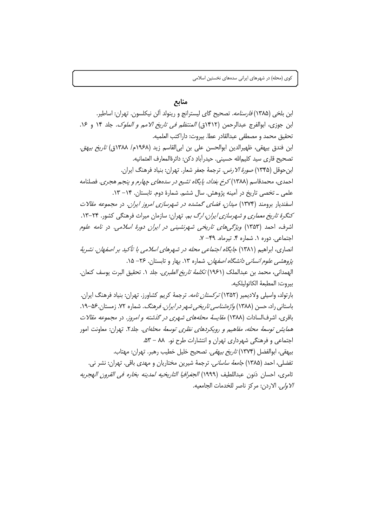### منابع

ابن بلخي (١٣٨۵) *فارسنامه.* تصحيح گاي ليسترانج و رينولد آلن نيكلسون. تهران: اساطير. ابن جوزي، ابوالفرج عبدالرحمن (١۴١٢ق) *المنتظم في تاريخ الامم و الملوك*. جلد ١۴ و ١٤. تحقيق محمد و مصطفى عبدالقادر عطا. بيروت: داراكتب العلميه. ابن فندق بيهقى، ظهيرالدين ابوالحسن على بن ابي القاسم زيد (١٩۶٨م/ ١٣٨٨ق) ت*اريخ بيهةِ.* تصحيح قاري سيد كليمالله حسيني. حيدرآبادِ دكن: دائرةالمعارف العثمانيه. ابن حوقل (۱۳۴۵) *صورهٔ الا رض.* ترجمهٔ جعفر شعار. تهران: بنیاد فرهنگ ایران. احمدي، محمدقاسم (١٣٨٨) كرخ بغداد، پايگاه تشيع در سدههاي چهارم و پنجم هجري. فصلنامه علمی ـ تخصی تاریخ در آمینه پژوهش. سال ششم. شمارهٔ دوم. تابستان. ۱۴– ۱۳. اسفندیار برومند (۱۳۷۴) *میدان، فضای گمشده در شهرسازی امروز ایران.* در مجم*وعه مقالات* کنگرهٔ تاری*خ معماری و شهرسازی ایران، ارگ ب*م. تهران: سازمان میراث فرهنگی کشور. ۲۴-۱۳. اشرف، احمد (۱۳۵۳) *ویژگیهای تاریخی شهرنشینی در ایران دورهٔ اسلامی*. در *نامه علوم* اجتماعی. دوره ١. شماره ۴. تیرماه. ٢٩- ٧. انصاری، ابراهیم (۱۳۸۱) *جایگاه اجتماعی محله در شهرهای اسلامی با تأکید بر اصفهان. نشریهٔ* یژو*هشی علوم انسانی دانشگاه اصفهان.* شماره ۱۳. بهار و تابستان. ۲۶– ۱۵. الهمداني، محمد بن عبدالملك (١٩۶١) *تكلمهٔ تاريخ الطبري.* جلد ١. تحقيق البرت يوسف كنعان. بيروت: المطبعة الكاتوليلكيه. بارتولد، واسیلی ولادیمیر (۱۳۵۲) *ترکستان نامه*. ترجمهٔ کریم کشاورز. تهران: بنیاد فرهنگ ایران. باستانی راد، حسن (۱۳۸۸) *واژهشناسی تاریخی شهر در ایران. فرهنگ*. شماره ۷۲. زمستان.۵۶–۱۹. باقری، اشرفالسادات (۱۳۸۸) *مقایسهٔ محلههای شهری در گذشته و امروز*. در *مجموعه مقالات* همايش توسعهٔ محله، مفاهيم و رويكردهاي نظري توسعهٔ محله/ي. جلد٢. تهران: معاونت امور اجتماعی و فرهنگی شهرداری تهران و انتشارات طرح نو. ۸۸ – ۵۳. بيهقي، ابوالفضل (١٣٧۴) *تاريخ بيهقي.* تصحيح خليل خطيب رهبر. تهران: مهتاب. تفضلي، احمد (۱۳۸۵) *جامعهٔ ساساني.* ترجمهٔ شیرین مختاریان و مهدی باقی. تهران: نشر نی. ثامري، احسان ذنون عبداللطيف (١٩٩٩) *الجغرافيا التاريخيه لمدينه بخاره في القرون ال*هجر*يه* /لاولى. الاردن: مركز ناصر للخدمات الجامعيه.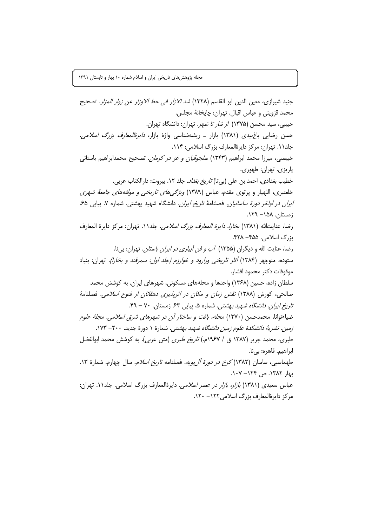جنيد شيرازي، معين الدين ابو القاسم (١٣٢٨) *شد الازار في حط الاوزار عن زوار المزار.* تصحيح محمد قزويني و عباس اقبال. تهران: چاپخانهٔ مجلس. حبیبی، سید محسن (۱۳۷۵) *از شار تا شهر*. تهران: دانشگاه تهران. حسن رضایی باغبیدی (۱۳۸۱) بازار ــ ریشهشناسی واژهٔ بازار، *دایرهٔالمعارف بزرگ اسلامی*. جلد ١١. تهران: مركز دايرةالمعارف بزرگ اسلامي: ١١۴. خبیصی، میرزا محمد ابراهیم (۱۳۴۳) *سلجوقیان و غز در کرمان.* تصحیح محمدابراهیم باستانی ياريزي. تهران: طهوري. خطيب بغدادي، احمد بن علي (بي تا) *تاريخ بغداد*. جلد ١٢. بيروت: دارالكتاب عربي. خلعتبری، اللهیار و پرتوی مقدم، عباس (۱۳۸۹) *ویژگیهای تاریخی و مولفههای جامعهٔ شهری ایران در اواخر دورهٔ ساسانیان.* فصلنامهٔ ت*اریخ ایران.* دانشگاه شهید بهشتی. شماره ۷. پیاپی ۶۵. زمستان. ۱۵۸– ۱۲۹. رضا، عنايتالله (١٣٨١) *بخارا. دايرة المعارف بزرگ اسلامي.* جلد١١. تهران: مركز دايرة المعارف بزرگ اسلامی. ۴۵۵– ۴۲۸. رضا، عنایت الله و دیگران (۱۳۵۵) *آب و فن آبیاری در ایران باستان*. تهران: بیi. ستوده، منوچهر (۱۳۸۴) *آثار تاریخی ورارود و خوارزم (جلد اول: سمرقند و بخارا)*. تهران: بنیاد موقوفات دكتر محمود افشار. سلطان زاده، حسین (۱۳۶۸) واحدها و محلههای مسکونی، شهرهای ایران. به کوشش محمد صالحی، کورش (۱۳۸۸) *نقش زمان و مکان در اثرپذیری دهقانان از فتوح اسلامی.* فصلنامهٔ تاريخ *ايران. دانشگاه شهيد بهشتي.* شماره ۵، پياپي ۶۳ زمستان. ۷۰ - ۴۹. ضیاءتوانا، محمدحسن (۱۳۷۰) *محله، بافت و ساختار آن در شهرهای شرق اسلامی. مجلهٔ علوم* زمین. نشریهٔ د*انشکدهٔ علوم زمین دانشگاه شهید بهشتی*. شمارهٔ ۱ دورهٔ جدید. ۲۰۰– ۱۷۳. طبري، محمد جرير (١٣٨٧ ق / ١٩۶٧م.) *تاريخ طبري* (متن عربي). به كوشش محمد ابوالفضل ابراهيم. قاهره: بي نا. طهماسبی، ساسان (۱۳۸۲) *کرخ در دورهٔ آل بویه*. فصلنامه *تاریخ اسلام*. سال چهارم. شمارهٔ ۱۳.  $\cdot$ ۱۳۸۲ ص ۱۲۴ - ۱۰۷ عباس سعیدی (۱۳۸۱) *بازار، بازار در عصر اسلامی.* دایرهٔالمعارف بزرگ اسلامی. جلد ۱۱. تهران: مركز دايرةالمعارف بزرگ اسلامي ١٢٢ - ١٢٠.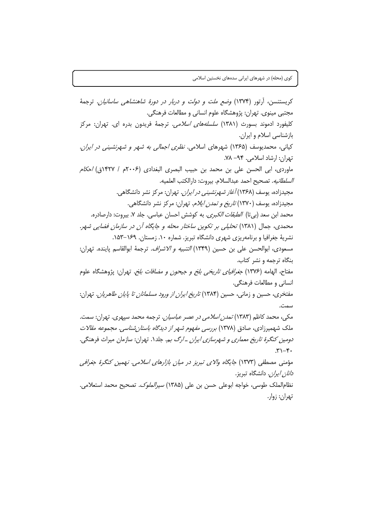کریستنسن، آرتور (۱۳۷۴) *وضع ملت و دولت و دربار در دورهٔ شاهنشاهی ساسانیان*. ترجمهٔ مجتبي مينوي. تهران: پژوهشگاه علوم انساني و مطالعات فرهنگي. کلیفورد ادموند بسورث (۱۳۸۱) *سلسلههای اسلامی*. ترجمهٔ فریدون بدره ای. تهران: مرکز بازشناسی اسلام و ایران. کیانی، محمدیوسف (۱۳۶۵) شهرهای اسلامی. *نظری اجمالی به شهر و شهرنشینی در ایران*. تهران: ارشاد اسلامی. ۰۹۴– ۷۸. ماوردي، ابي الحسن على بن محمد بن حبيب البصري البغدادي (٢٠٠۶م / ١۴٢٧ق) *احكام* ا*لسلطانيه*. تصحيح احمد عبدالسلام. بيروت: دارالكتب العلميه. مجیدزاده، یوسف (۱۳۶۸) *آغاز شهرنشینی در ایران*. تهران: مرکز نشر دانشگاهی. مجیدزاده، یوسف (۱۳۷۰) *تاریخ و تمدن ایلام.* تهران: مرکز نشر دانشگاهی. محمد ابن سعد (بي¤ا) *الطبقات الكبرى*. به كوشش احسان عباسي. جلد ٧. بيروت: دارصادره. محمدی، جمال (۱۳۸۱) تح*لیلی بر تکوین ساختار محله و جایگاه آن در سازمان فضایی شه*ر. نشریهٔ جغرافیا و برنامهریزی شهری دانشگاه تبریز. شماره ۱۰. زمستان. ۱۶۹–۱۵۳. مسعودي، ابوالحسن على بن حسين (١٣۴٩) *التنبيه و الاشراف*. ترجمة ابوالقاسم ياينده. تهران: بنگاه ترجمه و نشر کتاب. مفتاح، الهامه (۱۳۷۶) *جغرافیای تاریخی بلخ و جیحون و مضافات بلخ.* تهران: پژوهشگاه علوم انساني و مطالعات فرهنگي. مفتخری، حسین و زمانی، حسین (۱۳۸۴) *تاریخ ایران از ورود مسلمانان تا پایان طاهریان.* تهران: سمت. مکی، محمد کاظم (۱۳۸۳) *تمدن اسلامی در عصر عباسیان.* ترجمه محمد سپهری. تهران: سمت. ملک شهمیرزادی، صادق (۱۳۷۸) *بررسی مفهوم شهر از دیدگاه باستان شناسی. مجموعه مقالات* د*ومین کنگرهٔ تاریخ معماری و شهرسازی ایران ـ ارگ ب*م. جلد۱. تهران: سازمان میراث فرهنگی.  $.7 - 17.$ مؤمنی مصطفی (۱۳۷۳) جایگاه والای تبریز در میان بازارهای اسلامی. نهمین کنگرهٔ جغرافی د*انان ایران.* دانشگاه تیریز. نظام|لملک طوسی، خواجه ابوعلی حسن بن علی (۱۳۸۵) *سیرالملوک.* تصحیح محمد استعلامی. تهران: زوار.